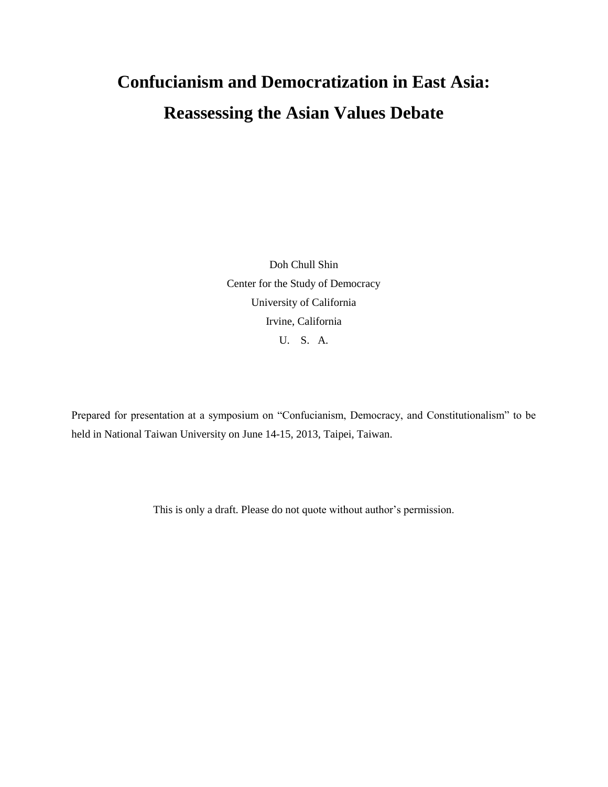# **Confucianism and Democratization in East Asia: Reassessing the Asian Values Debate**

Doh Chull Shin Center for the Study of Democracy University of California Irvine, California U. S. A.

Prepared for presentation at a symposium on "Confucianism, Democracy, and Constitutionalism" to be held in National Taiwan University on June 14-15, 2013, Taipei, Taiwan.

This is only a draft. Please do not quote without author's permission.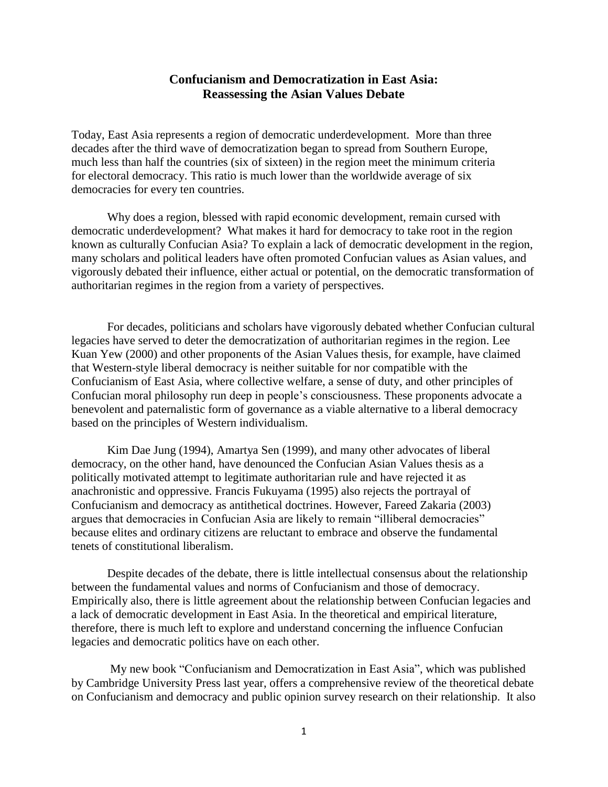#### **Confucianism and Democratization in East Asia: Reassessing the Asian Values Debate**

Today, East Asia represents a region of democratic underdevelopment. More than three decades after the third wave of democratization began to spread from Southern Europe, much less than half the countries (six of sixteen) in the region meet the minimum criteria for electoral democracy. This ratio is much lower than the worldwide average of six democracies for every ten countries.

Why does a region, blessed with rapid economic development, remain cursed with democratic underdevelopment? What makes it hard for democracy to take root in the region known as culturally Confucian Asia? To explain a lack of democratic development in the region, many scholars and political leaders have often promoted Confucian values as Asian values, and vigorously debated their influence, either actual or potential, on the democratic transformation of authoritarian regimes in the region from a variety of perspectives.

For decades, politicians and scholars have vigorously debated whether Confucian cultural legacies have served to deter the democratization of authoritarian regimes in the region. Lee Kuan Yew (2000) and other proponents of the Asian Values thesis, for example, have claimed that Western-style liberal democracy is neither suitable for nor compatible with the Confucianism of East Asia, where collective welfare, a sense of duty, and other principles of Confucian moral philosophy run deep in people's consciousness. These proponents advocate a benevolent and paternalistic form of governance as a viable alternative to a liberal democracy based on the principles of Western individualism.

Kim Dae Jung (1994), Amartya Sen (1999), and many other advocates of liberal democracy, on the other hand, have denounced the Confucian Asian Values thesis as a politically motivated attempt to legitimate authoritarian rule and have rejected it as anachronistic and oppressive. Francis Fukuyama (1995) also rejects the portrayal of Confucianism and democracy as antithetical doctrines. However, Fareed Zakaria (2003) argues that democracies in Confucian Asia are likely to remain "illiberal democracies" because elites and ordinary citizens are reluctant to embrace and observe the fundamental tenets of constitutional liberalism.

Despite decades of the debate, there is little intellectual consensus about the relationship between the fundamental values and norms of Confucianism and those of democracy. Empirically also, there is little agreement about the relationship between Confucian legacies and a lack of democratic development in East Asia. In the theoretical and empirical literature, therefore, there is much left to explore and understand concerning the influence Confucian legacies and democratic politics have on each other.

My new book "Confucianism and Democratization in East Asia", which was published by Cambridge University Press last year, offers a comprehensive review of the theoretical debate on Confucianism and democracy and public opinion survey research on their relationship. It also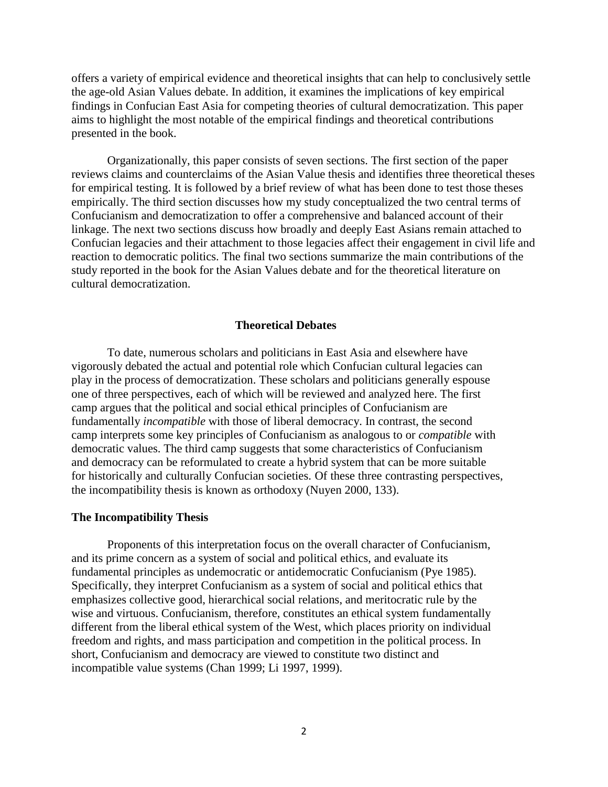offers a variety of empirical evidence and theoretical insights that can help to conclusively settle the age-old Asian Values debate. In addition, it examines the implications of key empirical findings in Confucian East Asia for competing theories of cultural democratization. This paper aims to highlight the most notable of the empirical findings and theoretical contributions presented in the book.

Organizationally, this paper consists of seven sections. The first section of the paper reviews claims and counterclaims of the Asian Value thesis and identifies three theoretical theses for empirical testing. It is followed by a brief review of what has been done to test those theses empirically. The third section discusses how my study conceptualized the two central terms of Confucianism and democratization to offer a comprehensive and balanced account of their linkage. The next two sections discuss how broadly and deeply East Asians remain attached to Confucian legacies and their attachment to those legacies affect their engagement in civil life and reaction to democratic politics. The final two sections summarize the main contributions of the study reported in the book for the Asian Values debate and for the theoretical literature on cultural democratization.

#### **Theoretical Debates**

To date, numerous scholars and politicians in East Asia and elsewhere have vigorously debated the actual and potential role which Confucian cultural legacies can play in the process of democratization. These scholars and politicians generally espouse one of three perspectives, each of which will be reviewed and analyzed here. The first camp argues that the political and social ethical principles of Confucianism are fundamentally *incompatible* with those of liberal democracy. In contrast, the second camp interprets some key principles of Confucianism as analogous to or *compatible* with democratic values. The third camp suggests that some characteristics of Confucianism and democracy can be reformulated to create a hybrid system that can be more suitable for historically and culturally Confucian societies. Of these three contrasting perspectives, the incompatibility thesis is known as orthodoxy (Nuyen 2000, 133).

#### **The Incompatibility Thesis**

Proponents of this interpretation focus on the overall character of Confucianism, and its prime concern as a system of social and political ethics, and evaluate its fundamental principles as undemocratic or antidemocratic Confucianism (Pye 1985). Specifically, they interpret Confucianism as a system of social and political ethics that emphasizes collective good, hierarchical social relations, and meritocratic rule by the wise and virtuous. Confucianism, therefore, constitutes an ethical system fundamentally different from the liberal ethical system of the West, which places priority on individual freedom and rights, and mass participation and competition in the political process. In short, Confucianism and democracy are viewed to constitute two distinct and incompatible value systems (Chan 1999; Li 1997, 1999).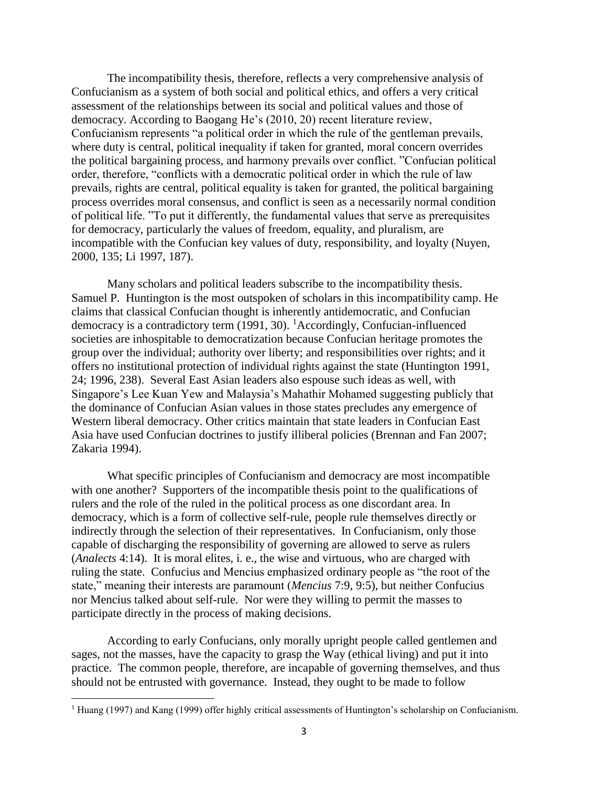The incompatibility thesis, therefore, reflects a very comprehensive analysis of Confucianism as a system of both social and political ethics, and offers a very critical assessment of the relationships between its social and political values and those of democracy. According to Baogang He's (2010, 20) recent literature review, Confucianism represents "a political order in which the rule of the gentleman prevails, where duty is central, political inequality if taken for granted, moral concern overrides the political bargaining process, and harmony prevails over conflict. "Confucian political order, therefore, "conflicts with a democratic political order in which the rule of law prevails, rights are central, political equality is taken for granted, the political bargaining process overrides moral consensus, and conflict is seen as a necessarily normal condition of political life. "To put it differently, the fundamental values that serve as prerequisites for democracy, particularly the values of freedom, equality, and pluralism, are incompatible with the Confucian key values of duty, responsibility, and loyalty (Nuyen, 2000, 135; Li 1997, 187).

Many scholars and political leaders subscribe to the incompatibility thesis. Samuel P. Huntington is the most outspoken of scholars in this incompatibility camp. He claims that classical Confucian thought is inherently antidemocratic, and Confucian democracy is a contradictory term (1991, 30). <sup>1</sup>Accordingly, Confucian-influenced societies are inhospitable to democratization because Confucian heritage promotes the group over the individual; authority over liberty; and responsibilities over rights; and it offers no institutional protection of individual rights against the state (Huntington 1991, 24; 1996, 238). Several East Asian leaders also espouse such ideas as well, with Singapore's Lee Kuan Yew and Malaysia's Mahathir Mohamed suggesting publicly that the dominance of Confucian Asian values in those states precludes any emergence of Western liberal democracy. Other critics maintain that state leaders in Confucian East Asia have used Confucian doctrines to justify illiberal policies (Brennan and Fan 2007; Zakaria 1994).

What specific principles of Confucianism and democracy are most incompatible with one another? Supporters of the incompatible thesis point to the qualifications of rulers and the role of the ruled in the political process as one discordant area. In democracy, which is a form of collective self-rule, people rule themselves directly or indirectly through the selection of their representatives. In Confucianism, only those capable of discharging the responsibility of governing are allowed to serve as rulers (*Analects* 4:14). It is moral elites, i. e., the wise and virtuous, who are charged with ruling the state. Confucius and Mencius emphasized ordinary people as "the root of the state," meaning their interests are paramount (*Mencius* 7:9, 9:5), but neither Confucius nor Mencius talked about self-rule. Nor were they willing to permit the masses to participate directly in the process of making decisions.

According to early Confucians, only morally upright people called gentlemen and sages, not the masses, have the capacity to grasp the Way (ethical living) and put it into practice. The common people, therefore, are incapable of governing themselves, and thus should not be entrusted with governance. Instead, they ought to be made to follow

 $\overline{\phantom{a}}$ 

<sup>&</sup>lt;sup>1</sup> Huang (1997) and Kang (1999) offer highly critical assessments of Huntington's scholarship on Confucianism.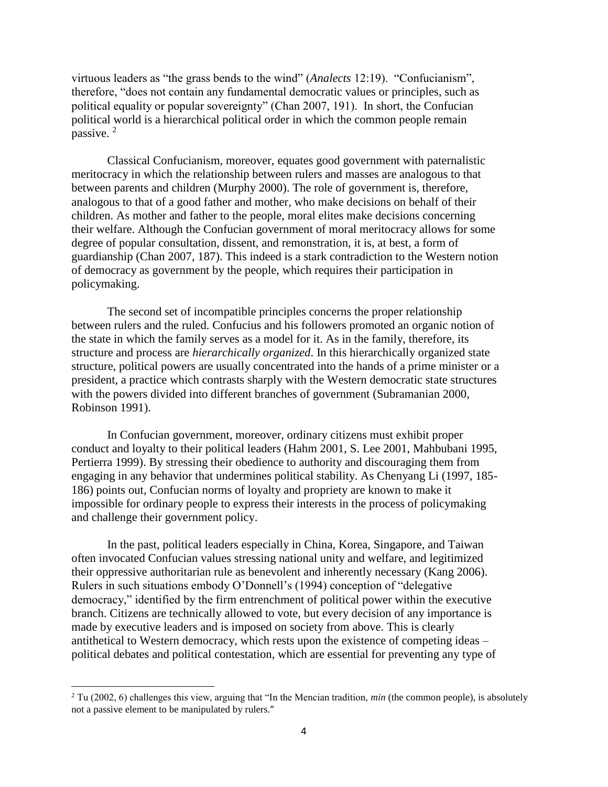virtuous leaders as "the grass bends to the wind" (*Analects* 12:19). "Confucianism", therefore, "does not contain any fundamental democratic values or principles, such as political equality or popular sovereignty" (Chan 2007, 191). In short, the Confucian political world is a hierarchical political order in which the common people remain passive. <sup>2</sup>

Classical Confucianism, moreover, equates good government with paternalistic meritocracy in which the relationship between rulers and masses are analogous to that between parents and children (Murphy 2000). The role of government is, therefore, analogous to that of a good father and mother, who make decisions on behalf of their children. As mother and father to the people, moral elites make decisions concerning their welfare. Although the Confucian government of moral meritocracy allows for some degree of popular consultation, dissent, and remonstration, it is, at best, a form of guardianship (Chan 2007, 187). This indeed is a stark contradiction to the Western notion of democracy as government by the people, which requires their participation in policymaking.

The second set of incompatible principles concerns the proper relationship between rulers and the ruled. Confucius and his followers promoted an organic notion of the state in which the family serves as a model for it. As in the family, therefore, its structure and process are *hierarchically organized*. In this hierarchically organized state structure, political powers are usually concentrated into the hands of a prime minister or a president, a practice which contrasts sharply with the Western democratic state structures with the powers divided into different branches of government (Subramanian 2000, Robinson 1991).

In Confucian government, moreover, ordinary citizens must exhibit proper conduct and loyalty to their political leaders (Hahm 2001, S. Lee 2001, Mahbubani 1995, Pertierra 1999). By stressing their obedience to authority and discouraging them from engaging in any behavior that undermines political stability. As Chenyang Li (1997, 185- 186) points out, Confucian norms of loyalty and propriety are known to make it impossible for ordinary people to express their interests in the process of policymaking and challenge their government policy.

In the past, political leaders especially in China, Korea, Singapore, and Taiwan often invocated Confucian values stressing national unity and welfare, and legitimized their oppressive authoritarian rule as benevolent and inherently necessary (Kang 2006). Rulers in such situations embody O'Donnell's (1994) conception of "delegative democracy," identified by the firm entrenchment of political power within the executive branch. Citizens are technically allowed to vote, but every decision of any importance is made by executive leaders and is imposed on society from above. This is clearly antithetical to Western democracy, which rests upon the existence of competing ideas – political debates and political contestation, which are essential for preventing any type of

l

<sup>2</sup> Tu (2002, 6) challenges this view, arguing that "In the Mencian tradition, *min* (the common people), is absolutely not a passive element to be manipulated by rulers."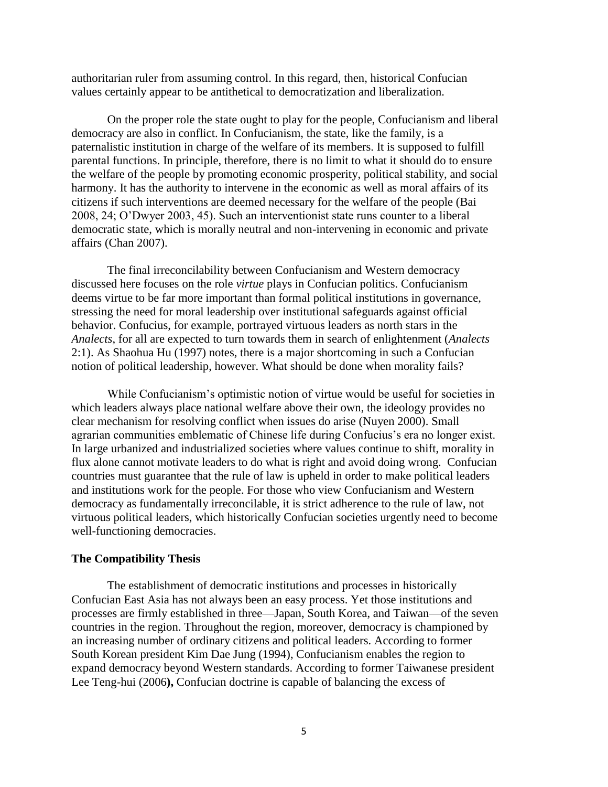authoritarian ruler from assuming control. In this regard, then, historical Confucian values certainly appear to be antithetical to democratization and liberalization.

On the proper role the state ought to play for the people, Confucianism and liberal democracy are also in conflict. In Confucianism, the state, like the family, is a paternalistic institution in charge of the welfare of its members. It is supposed to fulfill parental functions. In principle, therefore, there is no limit to what it should do to ensure the welfare of the people by promoting economic prosperity, political stability, and social harmony. It has the authority to intervene in the economic as well as moral affairs of its citizens if such interventions are deemed necessary for the welfare of the people (Bai 2008, 24; O'Dwyer 2003, 45). Such an interventionist state runs counter to a liberal democratic state, which is morally neutral and non-intervening in economic and private affairs (Chan 2007).

The final irreconcilability between Confucianism and Western democracy discussed here focuses on the role *virtue* plays in Confucian politics. Confucianism deems virtue to be far more important than formal political institutions in governance, stressing the need for moral leadership over institutional safeguards against official behavior. Confucius, for example, portrayed virtuous leaders as north stars in the *Analects*, for all are expected to turn towards them in search of enlightenment (*Analects* 2:1). As Shaohua Hu (1997) notes, there is a major shortcoming in such a Confucian notion of political leadership, however. What should be done when morality fails?

While Confucianism's optimistic notion of virtue would be useful for societies in which leaders always place national welfare above their own, the ideology provides no clear mechanism for resolving conflict when issues do arise (Nuyen 2000). Small agrarian communities emblematic of Chinese life during Confucius's era no longer exist. In large urbanized and industrialized societies where values continue to shift, morality in flux alone cannot motivate leaders to do what is right and avoid doing wrong. Confucian countries must guarantee that the rule of law is upheld in order to make political leaders and institutions work for the people. For those who view Confucianism and Western democracy as fundamentally irreconcilable, it is strict adherence to the rule of law, not virtuous political leaders, which historically Confucian societies urgently need to become well-functioning democracies.

#### **The Compatibility Thesis**

The establishment of democratic institutions and processes in historically Confucian East Asia has not always been an easy process. Yet those institutions and processes are firmly established in three—Japan, South Korea, and Taiwan—of the seven countries in the region. Throughout the region, moreover, democracy is championed by an increasing number of ordinary citizens and political leaders. According to former South Korean president Kim Dae Jung (1994), Confucianism enables the region to expand democracy beyond Western standards. According to former Taiwanese president Lee Teng-hui (2006**),** Confucian doctrine is capable of balancing the excess of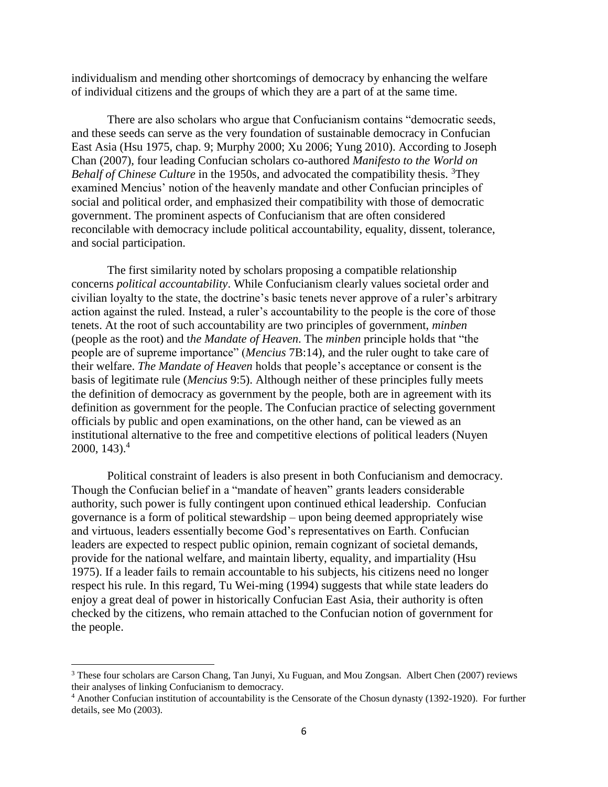individualism and mending other shortcomings of democracy by enhancing the welfare of individual citizens and the groups of which they are a part of at the same time.

There are also scholars who argue that Confucianism contains "democratic seeds, and these seeds can serve as the very foundation of sustainable democracy in Confucian East Asia (Hsu 1975, chap. 9; Murphy 2000; Xu 2006; Yung 2010). According to Joseph Chan (2007), four leading Confucian scholars co-authored *Manifesto to the World on Behalf of Chinese Culture* in the 1950s, and advocated the compatibility thesis. <sup>3</sup>They examined Mencius' notion of the heavenly mandate and other Confucian principles of social and political order, and emphasized their compatibility with those of democratic government. The prominent aspects of Confucianism that are often considered reconcilable with democracy include political accountability, equality, dissent, tolerance, and social participation.

The first similarity noted by scholars proposing a compatible relationship concerns *political accountability*. While Confucianism clearly values societal order and civilian loyalty to the state, the doctrine's basic tenets never approve of a ruler's arbitrary action against the ruled. Instead, a ruler's accountability to the people is the core of those tenets. At the root of such accountability are two principles of government, *minben* (people as the root) and t*he Mandate of Heaven*. The *minben* principle holds that "the people are of supreme importance" (*Mencius* 7B:14), and the ruler ought to take care of their welfare. *The Mandate of Heaven* holds that people's acceptance or consent is the basis of legitimate rule (*Mencius* 9:5). Although neither of these principles fully meets the definition of democracy as government by the people, both are in agreement with its definition as government for the people. The Confucian practice of selecting government officials by public and open examinations, on the other hand, can be viewed as an institutional alternative to the free and competitive elections of political leaders (Nuyen 2000, 143). $^{4}$ 

Political constraint of leaders is also present in both Confucianism and democracy. Though the Confucian belief in a "mandate of heaven" grants leaders considerable authority, such power is fully contingent upon continued ethical leadership. Confucian governance is a form of political stewardship – upon being deemed appropriately wise and virtuous, leaders essentially become God's representatives on Earth. Confucian leaders are expected to respect public opinion, remain cognizant of societal demands, provide for the national welfare, and maintain liberty, equality, and impartiality (Hsu 1975). If a leader fails to remain accountable to his subjects, his citizens need no longer respect his rule. In this regard, Tu Wei-ming (1994) suggests that while state leaders do enjoy a great deal of power in historically Confucian East Asia, their authority is often checked by the citizens, who remain attached to the Confucian notion of government for the people.

 $\overline{\phantom{a}}$ 

<sup>&</sup>lt;sup>3</sup> These four scholars are Carson Chang, Tan Junyi, Xu Fuguan, and Mou Zongsan. Albert Chen (2007) reviews their analyses of linking Confucianism to democracy.

<sup>4</sup> Another Confucian institution of accountability is the Censorate of the Chosun dynasty (1392-1920). For further details, see Mo (2003).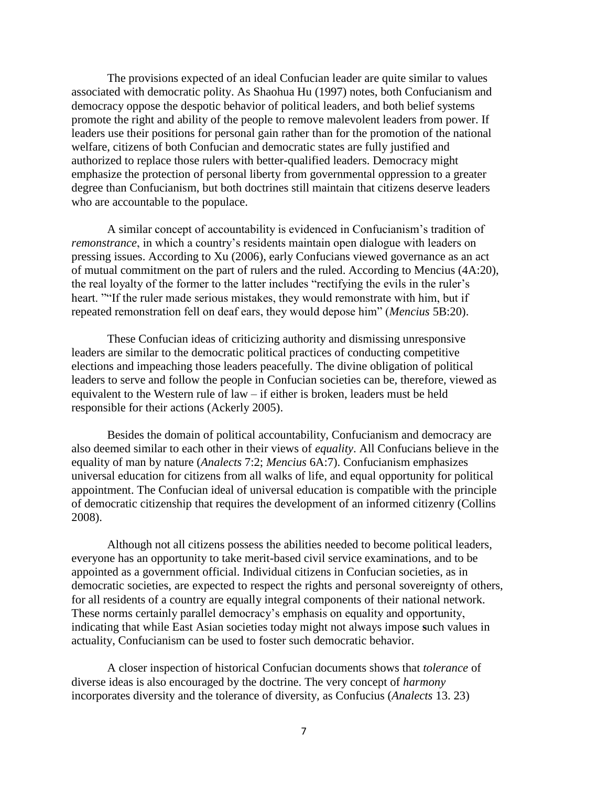The provisions expected of an ideal Confucian leader are quite similar to values associated with democratic polity. As Shaohua Hu (1997) notes, both Confucianism and democracy oppose the despotic behavior of political leaders, and both belief systems promote the right and ability of the people to remove malevolent leaders from power. If leaders use their positions for personal gain rather than for the promotion of the national welfare, citizens of both Confucian and democratic states are fully justified and authorized to replace those rulers with better-qualified leaders. Democracy might emphasize the protection of personal liberty from governmental oppression to a greater degree than Confucianism, but both doctrines still maintain that citizens deserve leaders who are accountable to the populace.

A similar concept of accountability is evidenced in Confucianism's tradition of *remonstrance*, in which a country's residents maintain open dialogue with leaders on pressing issues. According to Xu (2006), early Confucians viewed governance as an act of mutual commitment on the part of rulers and the ruled. According to Mencius (4A:20), the real loyalty of the former to the latter includes "rectifying the evils in the ruler's heart. ""If the ruler made serious mistakes, they would remonstrate with him, but if repeated remonstration fell on deaf ears, they would depose him" (*Mencius* 5B:20).

These Confucian ideas of criticizing authority and dismissing unresponsive leaders are similar to the democratic political practices of conducting competitive elections and impeaching those leaders peacefully. The divine obligation of political leaders to serve and follow the people in Confucian societies can be, therefore, viewed as equivalent to the Western rule of law – if either is broken, leaders must be held responsible for their actions (Ackerly 2005).

Besides the domain of political accountability, Confucianism and democracy are also deemed similar to each other in their views of *equality*. All Confucians believe in the equality of man by nature (*Analects* 7:2; *Mencius* 6A:7). Confucianism emphasizes universal education for citizens from all walks of life, and equal opportunity for political appointment. The Confucian ideal of universal education is compatible with the principle of democratic citizenship that requires the development of an informed citizenry (Collins 2008).

Although not all citizens possess the abilities needed to become political leaders, everyone has an opportunity to take merit-based civil service examinations, and to be appointed as a government official. Individual citizens in Confucian societies, as in democratic societies, are expected to respect the rights and personal sovereignty of others, for all residents of a country are equally integral components of their national network. These norms certainly parallel democracy's emphasis on equality and opportunity, indicating that while East Asian societies today might not always impose **s**uch values in actuality, Confucianism can be used to foster such democratic behavior.

A closer inspection of historical Confucian documents shows that *tolerance* of diverse ideas is also encouraged by the doctrine. The very concept of *harmony* incorporates diversity and the tolerance of diversity, as Confucius (*Analects* 13. 23)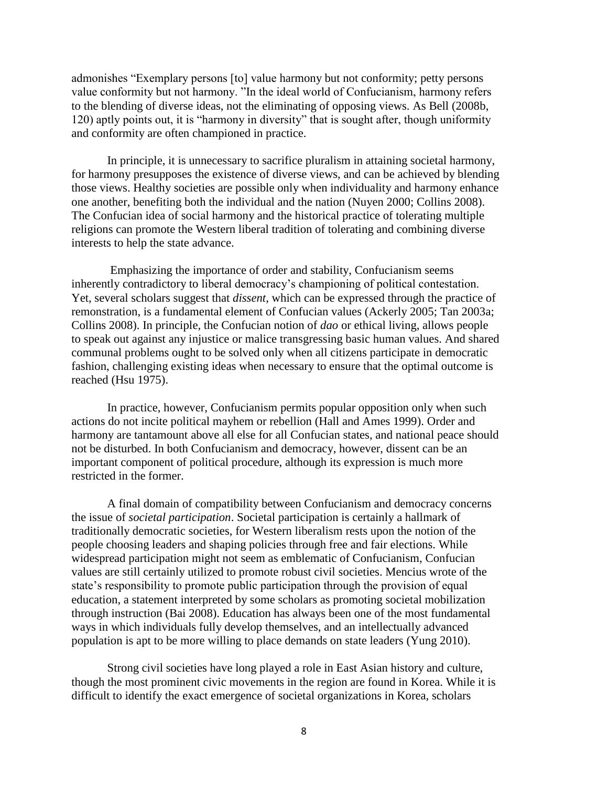admonishes "Exemplary persons [to] value harmony but not conformity; petty persons value conformity but not harmony. "In the ideal world of Confucianism, harmony refers to the blending of diverse ideas, not the eliminating of opposing views. As Bell (2008b, 120) aptly points out, it is "harmony in diversity" that is sought after, though uniformity and conformity are often championed in practice.

In principle, it is unnecessary to sacrifice pluralism in attaining societal harmony, for harmony presupposes the existence of diverse views, and can be achieved by blending those views. Healthy societies are possible only when individuality and harmony enhance one another, benefiting both the individual and the nation (Nuyen 2000; Collins 2008). The Confucian idea of social harmony and the historical practice of tolerating multiple religions can promote the Western liberal tradition of tolerating and combining diverse interests to help the state advance.

Emphasizing the importance of order and stability, Confucianism seems inherently contradictory to liberal democracy's championing of political contestation. Yet, several scholars suggest that *dissent*, which can be expressed through the practice of remonstration, is a fundamental element of Confucian values (Ackerly 2005; Tan 2003a; Collins 2008). In principle, the Confucian notion of *dao* or ethical living, allows people to speak out against any injustice or malice transgressing basic human values. And shared communal problems ought to be solved only when all citizens participate in democratic fashion, challenging existing ideas when necessary to ensure that the optimal outcome is reached (Hsu 1975).

In practice, however, Confucianism permits popular opposition only when such actions do not incite political mayhem or rebellion (Hall and Ames 1999). Order and harmony are tantamount above all else for all Confucian states, and national peace should not be disturbed. In both Confucianism and democracy, however, dissent can be an important component of political procedure, although its expression is much more restricted in the former.

A final domain of compatibility between Confucianism and democracy concerns the issue of *societal participation*. Societal participation is certainly a hallmark of traditionally democratic societies, for Western liberalism rests upon the notion of the people choosing leaders and shaping policies through free and fair elections. While widespread participation might not seem as emblematic of Confucianism, Confucian values are still certainly utilized to promote robust civil societies. Mencius wrote of the state's responsibility to promote public participation through the provision of equal education, a statement interpreted by some scholars as promoting societal mobilization through instruction (Bai 2008). Education has always been one of the most fundamental ways in which individuals fully develop themselves, and an intellectually advanced population is apt to be more willing to place demands on state leaders (Yung 2010).

Strong civil societies have long played a role in East Asian history and culture, though the most prominent civic movements in the region are found in Korea. While it is difficult to identify the exact emergence of societal organizations in Korea, scholars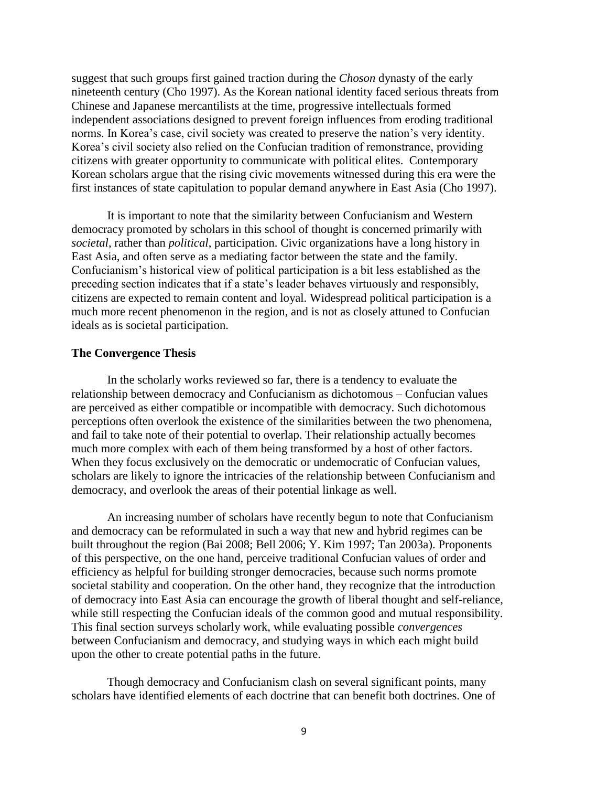suggest that such groups first gained traction during the *Choson* dynasty of the early nineteenth century (Cho 1997). As the Korean national identity faced serious threats from Chinese and Japanese mercantilists at the time, progressive intellectuals formed independent associations designed to prevent foreign influences from eroding traditional norms. In Korea's case, civil society was created to preserve the nation's very identity. Korea's civil society also relied on the Confucian tradition of remonstrance, providing citizens with greater opportunity to communicate with political elites. Contemporary Korean scholars argue that the rising civic movements witnessed during this era were the first instances of state capitulation to popular demand anywhere in East Asia (Cho 1997).

It is important to note that the similarity between Confucianism and Western democracy promoted by scholars in this school of thought is concerned primarily with *societal*, rather than *political*, participation. Civic organizations have a long history in East Asia, and often serve as a mediating factor between the state and the family. Confucianism's historical view of political participation is a bit less established as the preceding section indicates that if a state's leader behaves virtuously and responsibly, citizens are expected to remain content and loyal. Widespread political participation is a much more recent phenomenon in the region, and is not as closely attuned to Confucian ideals as is societal participation.

#### **The Convergence Thesis**

In the scholarly works reviewed so far, there is a tendency to evaluate the relationship between democracy and Confucianism as dichotomous – Confucian values are perceived as either compatible or incompatible with democracy. Such dichotomous perceptions often overlook the existence of the similarities between the two phenomena, and fail to take note of their potential to overlap. Their relationship actually becomes much more complex with each of them being transformed by a host of other factors. When they focus exclusively on the democratic or undemocratic of Confucian values, scholars are likely to ignore the intricacies of the relationship between Confucianism and democracy, and overlook the areas of their potential linkage as well.

An increasing number of scholars have recently begun to note that Confucianism and democracy can be reformulated in such a way that new and hybrid regimes can be built throughout the region (Bai 2008; Bell 2006; Y. Kim 1997; Tan 2003a). Proponents of this perspective, on the one hand, perceive traditional Confucian values of order and efficiency as helpful for building stronger democracies, because such norms promote societal stability and cooperation. On the other hand, they recognize that the introduction of democracy into East Asia can encourage the growth of liberal thought and self-reliance, while still respecting the Confucian ideals of the common good and mutual responsibility. This final section surveys scholarly work, while evaluating possible *convergences* between Confucianism and democracy, and studying ways in which each might build upon the other to create potential paths in the future.

Though democracy and Confucianism clash on several significant points, many scholars have identified elements of each doctrine that can benefit both doctrines. One of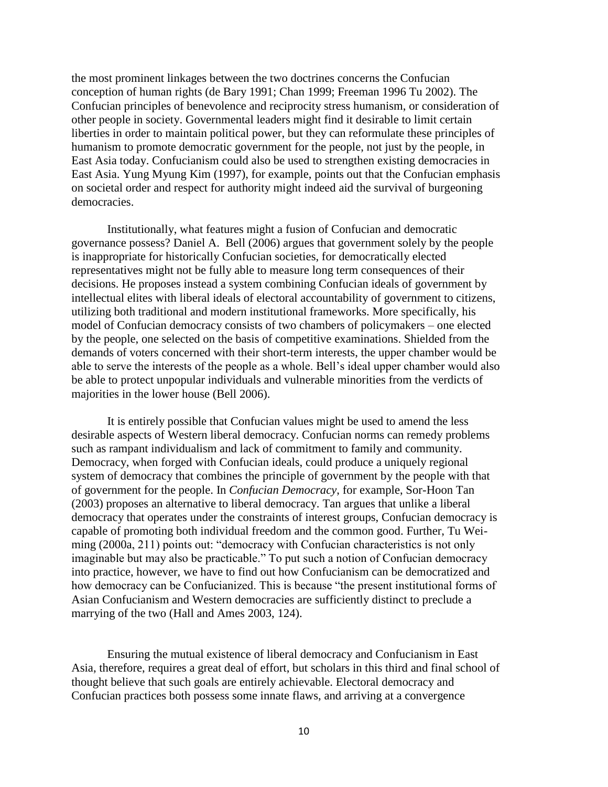the most prominent linkages between the two doctrines concerns the Confucian conception of human rights (de Bary 1991; Chan 1999; Freeman 1996 Tu 2002). The Confucian principles of benevolence and reciprocity stress humanism, or consideration of other people in society. Governmental leaders might find it desirable to limit certain liberties in order to maintain political power, but they can reformulate these principles of humanism to promote democratic government for the people, not just by the people, in East Asia today. Confucianism could also be used to strengthen existing democracies in East Asia. Yung Myung Kim (1997), for example, points out that the Confucian emphasis on societal order and respect for authority might indeed aid the survival of burgeoning democracies.

Institutionally, what features might a fusion of Confucian and democratic governance possess? Daniel A. Bell (2006) argues that government solely by the people is inappropriate for historically Confucian societies, for democratically elected representatives might not be fully able to measure long term consequences of their decisions. He proposes instead a system combining Confucian ideals of government by intellectual elites with liberal ideals of electoral accountability of government to citizens, utilizing both traditional and modern institutional frameworks. More specifically, his model of Confucian democracy consists of two chambers of policymakers – one elected by the people, one selected on the basis of competitive examinations. Shielded from the demands of voters concerned with their short-term interests, the upper chamber would be able to serve the interests of the people as a whole. Bell's ideal upper chamber would also be able to protect unpopular individuals and vulnerable minorities from the verdicts of majorities in the lower house (Bell 2006).

It is entirely possible that Confucian values might be used to amend the less desirable aspects of Western liberal democracy. Confucian norms can remedy problems such as rampant individualism and lack of commitment to family and community. Democracy, when forged with Confucian ideals, could produce a uniquely regional system of democracy that combines the principle of government by the people with that of government for the people. In *Confucian Democracy*, for example, Sor-Hoon Tan (2003) proposes an alternative to liberal democracy. Tan argues that unlike a liberal democracy that operates under the constraints of interest groups, Confucian democracy is capable of promoting both individual freedom and the common good. Further, Tu Weiming (2000a, 211) points out: "democracy with Confucian characteristics is not only imaginable but may also be practicable." To put such a notion of Confucian democracy into practice, however, we have to find out how Confucianism can be democratized and how democracy can be Confucianized. This is because "the present institutional forms of Asian Confucianism and Western democracies are sufficiently distinct to preclude a marrying of the two (Hall and Ames 2003, 124).

Ensuring the mutual existence of liberal democracy and Confucianism in East Asia, therefore, requires a great deal of effort, but scholars in this third and final school of thought believe that such goals are entirely achievable. Electoral democracy and Confucian practices both possess some innate flaws, and arriving at a convergence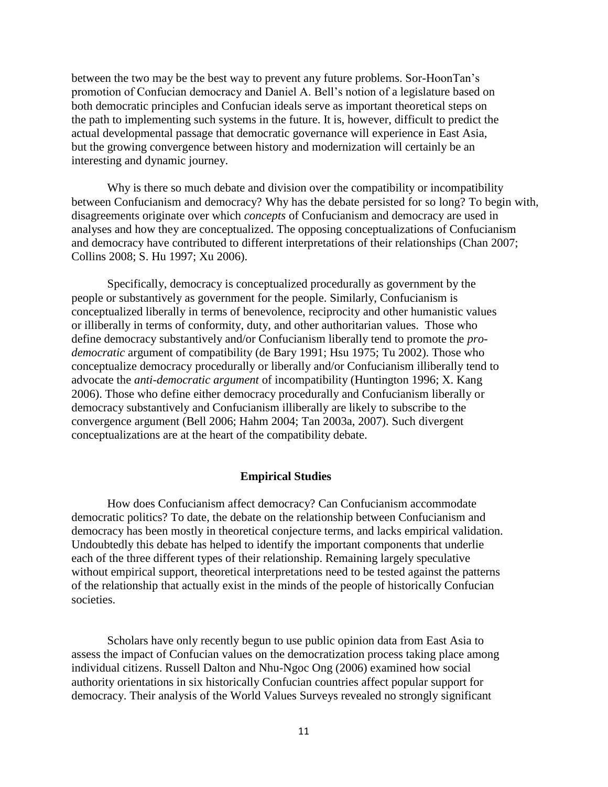between the two may be the best way to prevent any future problems. Sor-HoonTan's promotion of Confucian democracy and Daniel A. Bell's notion of a legislature based on both democratic principles and Confucian ideals serve as important theoretical steps on the path to implementing such systems in the future. It is, however, difficult to predict the actual developmental passage that democratic governance will experience in East Asia, but the growing convergence between history and modernization will certainly be an interesting and dynamic journey.

Why is there so much debate and division over the compatibility or incompatibility between Confucianism and democracy? Why has the debate persisted for so long? To begin with, disagreements originate over which *concepts* of Confucianism and democracy are used in analyses and how they are conceptualized. The opposing conceptualizations of Confucianism and democracy have contributed to different interpretations of their relationships (Chan 2007; Collins 2008; S. Hu 1997; Xu 2006).

Specifically, democracy is conceptualized procedurally as government by the people or substantively as government for the people. Similarly, Confucianism is conceptualized liberally in terms of benevolence, reciprocity and other humanistic values or illiberally in terms of conformity, duty, and other authoritarian values. Those who define democracy substantively and/or Confucianism liberally tend to promote the *prodemocratic* argument of compatibility (de Bary 1991; Hsu 1975; Tu 2002). Those who conceptualize democracy procedurally or liberally and/or Confucianism illiberally tend to advocate the *anti-democratic argument* of incompatibility (Huntington 1996; X. Kang 2006). Those who define either democracy procedurally and Confucianism liberally or democracy substantively and Confucianism illiberally are likely to subscribe to the convergence argument (Bell 2006; Hahm 2004; Tan 2003a, 2007). Such divergent conceptualizations are at the heart of the compatibility debate.

#### **Empirical Studies**

How does Confucianism affect democracy? Can Confucianism accommodate democratic politics? To date, the debate on the relationship between Confucianism and democracy has been mostly in theoretical conjecture terms, and lacks empirical validation. Undoubtedly this debate has helped to identify the important components that underlie each of the three different types of their relationship. Remaining largely speculative without empirical support, theoretical interpretations need to be tested against the patterns of the relationship that actually exist in the minds of the people of historically Confucian societies.

Scholars have only recently begun to use public opinion data from East Asia to assess the impact of Confucian values on the democratization process taking place among individual citizens. Russell Dalton and Nhu-Ngoc Ong (2006) examined how social authority orientations in six historically Confucian countries affect popular support for democracy. Their analysis of the World Values Surveys revealed no strongly significant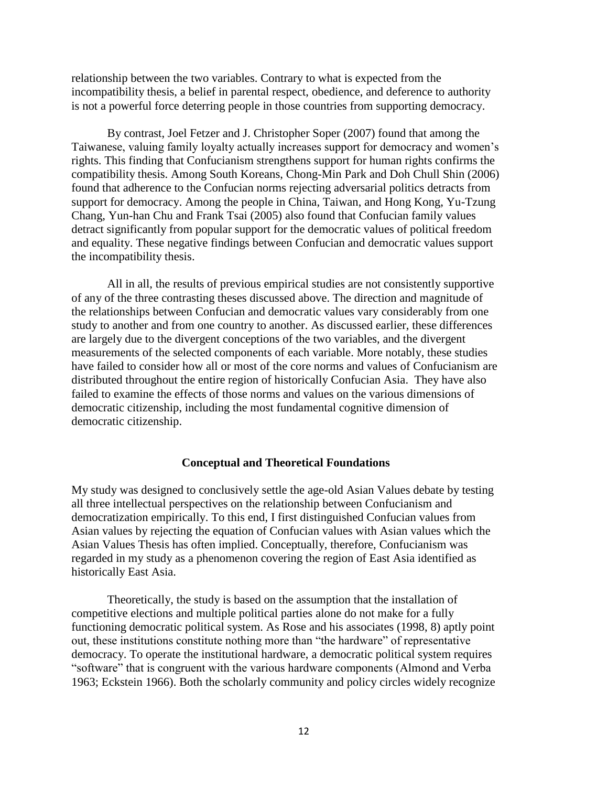relationship between the two variables. Contrary to what is expected from the incompatibility thesis, a belief in parental respect, obedience, and deference to authority is not a powerful force deterring people in those countries from supporting democracy.

By contrast, Joel Fetzer and J. Christopher Soper (2007) found that among the Taiwanese, valuing family loyalty actually increases support for democracy and women's rights. This finding that Confucianism strengthens support for human rights confirms the compatibility thesis. Among South Koreans, Chong-Min Park and Doh Chull Shin (2006) found that adherence to the Confucian norms rejecting adversarial politics detracts from support for democracy. Among the people in China, Taiwan, and Hong Kong, Yu-Tzung Chang, Yun-han Chu and Frank Tsai (2005) also found that Confucian family values detract significantly from popular support for the democratic values of political freedom and equality. These negative findings between Confucian and democratic values support the incompatibility thesis.

All in all, the results of previous empirical studies are not consistently supportive of any of the three contrasting theses discussed above. The direction and magnitude of the relationships between Confucian and democratic values vary considerably from one study to another and from one country to another. As discussed earlier, these differences are largely due to the divergent conceptions of the two variables, and the divergent measurements of the selected components of each variable. More notably, these studies have failed to consider how all or most of the core norms and values of Confucianism are distributed throughout the entire region of historically Confucian Asia. They have also failed to examine the effects of those norms and values on the various dimensions of democratic citizenship, including the most fundamental cognitive dimension of democratic citizenship.

#### **Conceptual and Theoretical Foundations**

My study was designed to conclusively settle the age-old Asian Values debate by testing all three intellectual perspectives on the relationship between Confucianism and democratization empirically. To this end, I first distinguished Confucian values from Asian values by rejecting the equation of Confucian values with Asian values which the Asian Values Thesis has often implied. Conceptually, therefore, Confucianism was regarded in my study as a phenomenon covering the region of East Asia identified as historically East Asia.

Theoretically, the study is based on the assumption that the installation of competitive elections and multiple political parties alone do not make for a fully functioning democratic political system. As Rose and his associates (1998, 8) aptly point out, these institutions constitute nothing more than "the hardware" of representative democracy. To operate the institutional hardware, a democratic political system requires "software" that is congruent with the various hardware components (Almond and Verba 1963; Eckstein 1966). Both the scholarly community and policy circles widely recognize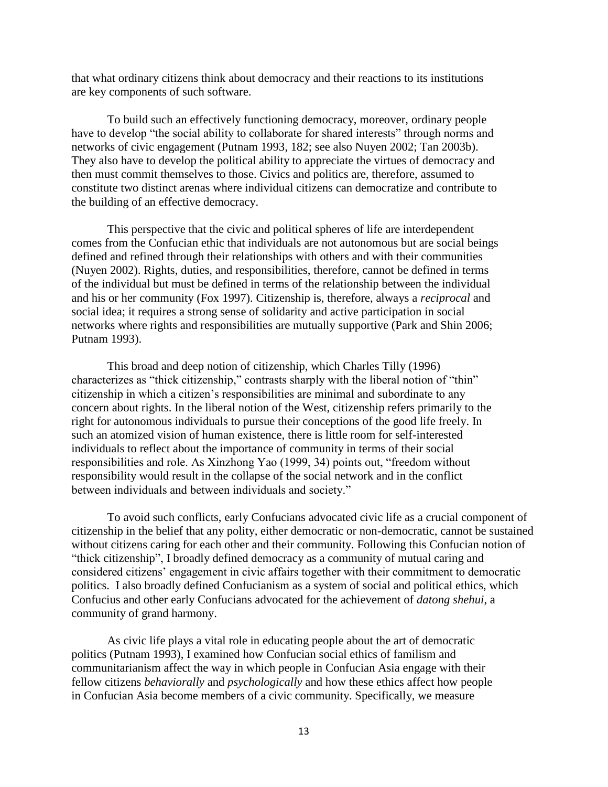that what ordinary citizens think about democracy and their reactions to its institutions are key components of such software.

To build such an effectively functioning democracy, moreover, ordinary people have to develop "the social ability to collaborate for shared interests" through norms and networks of civic engagement (Putnam 1993, 182; see also Nuyen 2002; Tan 2003b). They also have to develop the political ability to appreciate the virtues of democracy and then must commit themselves to those. Civics and politics are, therefore, assumed to constitute two distinct arenas where individual citizens can democratize and contribute to the building of an effective democracy.

This perspective that the civic and political spheres of life are interdependent comes from the Confucian ethic that individuals are not autonomous but are social beings defined and refined through their relationships with others and with their communities (Nuyen 2002). Rights, duties, and responsibilities, therefore, cannot be defined in terms of the individual but must be defined in terms of the relationship between the individual and his or her community (Fox 1997). Citizenship is, therefore, always a *reciprocal* and social idea; it requires a strong sense of solidarity and active participation in social networks where rights and responsibilities are mutually supportive (Park and Shin 2006; Putnam 1993).

This broad and deep notion of citizenship, which Charles Tilly (1996) characterizes as "thick citizenship," contrasts sharply with the liberal notion of "thin" citizenship in which a citizen's responsibilities are minimal and subordinate to any concern about rights. In the liberal notion of the West, citizenship refers primarily to the right for autonomous individuals to pursue their conceptions of the good life freely. In such an atomized vision of human existence, there is little room for self-interested individuals to reflect about the importance of community in terms of their social responsibilities and role. As Xinzhong Yao (1999, 34) points out, "freedom without responsibility would result in the collapse of the social network and in the conflict between individuals and between individuals and society."

To avoid such conflicts, early Confucians advocated civic life as a crucial component of citizenship in the belief that any polity, either democratic or non-democratic, cannot be sustained without citizens caring for each other and their community. Following this Confucian notion of "thick citizenship", I broadly defined democracy as a community of mutual caring and considered citizens' engagement in civic affairs together with their commitment to democratic politics. I also broadly defined Confucianism as a system of social and political ethics, which Confucius and other early Confucians advocated for the achievement of *datong shehui*, a community of grand harmony.

As civic life plays a vital role in educating people about the art of democratic politics (Putnam 1993), I examined how Confucian social ethics of familism and communitarianism affect the way in which people in Confucian Asia engage with their fellow citizens *behaviorally* and *psychologically* and how these ethics affect how people in Confucian Asia become members of a civic community. Specifically, we measure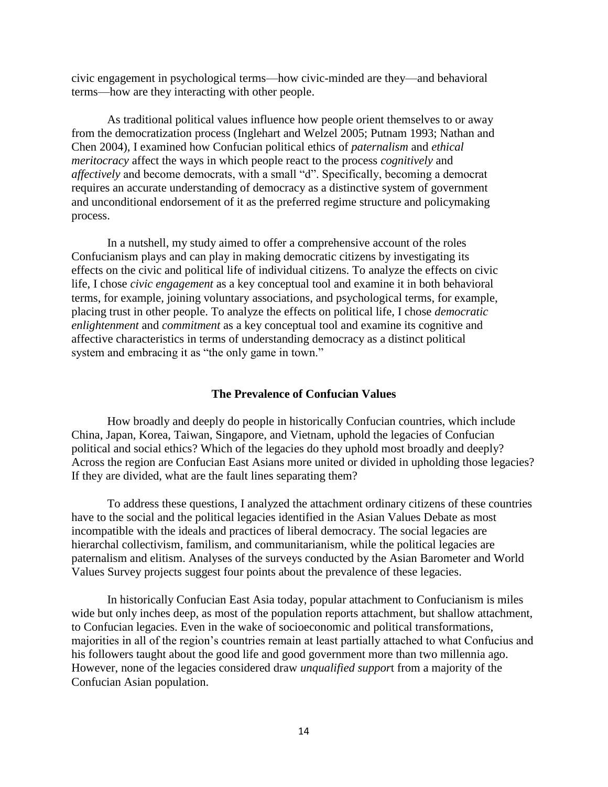civic engagement in psychological terms—how civic-minded are they—and behavioral terms—how are they interacting with other people.

As traditional political values influence how people orient themselves to or away from the democratization process (Inglehart and Welzel 2005; Putnam 1993; Nathan and Chen 2004), I examined how Confucian political ethics of *paternalism* and *ethical meritocracy* affect the ways in which people react to the process *cognitively* and *affectively* and become democrats, with a small "d". Specifically, becoming a democrat requires an accurate understanding of democracy as a distinctive system of government and unconditional endorsement of it as the preferred regime structure and policymaking process.

In a nutshell, my study aimed to offer a comprehensive account of the roles Confucianism plays and can play in making democratic citizens by investigating its effects on the civic and political life of individual citizens. To analyze the effects on civic life, I chose *civic engagement* as a key conceptual tool and examine it in both behavioral terms, for example, joining voluntary associations, and psychological terms, for example, placing trust in other people. To analyze the effects on political life, I chose *democratic enlightenment* and *commitment* as a key conceptual tool and examine its cognitive and affective characteristics in terms of understanding democracy as a distinct political system and embracing it as "the only game in town."

#### **The Prevalence of Confucian Values**

How broadly and deeply do people in historically Confucian countries, which include China, Japan, Korea, Taiwan, Singapore, and Vietnam, uphold the legacies of Confucian political and social ethics? Which of the legacies do they uphold most broadly and deeply? Across the region are Confucian East Asians more united or divided in upholding those legacies? If they are divided, what are the fault lines separating them?

To address these questions, I analyzed the attachment ordinary citizens of these countries have to the social and the political legacies identified in the Asian Values Debate as most incompatible with the ideals and practices of liberal democracy. The social legacies are hierarchal collectivism, familism, and communitarianism, while the political legacies are paternalism and elitism. Analyses of the surveys conducted by the Asian Barometer and World Values Survey projects suggest four points about the prevalence of these legacies.

In historically Confucian East Asia today, popular attachment to Confucianism is miles wide but only inches deep, as most of the population reports attachment, but shallow attachment, to Confucian legacies. Even in the wake of socioeconomic and political transformations, majorities in all of the region's countries remain at least partially attached to what Confucius and his followers taught about the good life and good government more than two millennia ago. However, none of the legacies considered draw *unqualified suppor*t from a majority of the Confucian Asian population.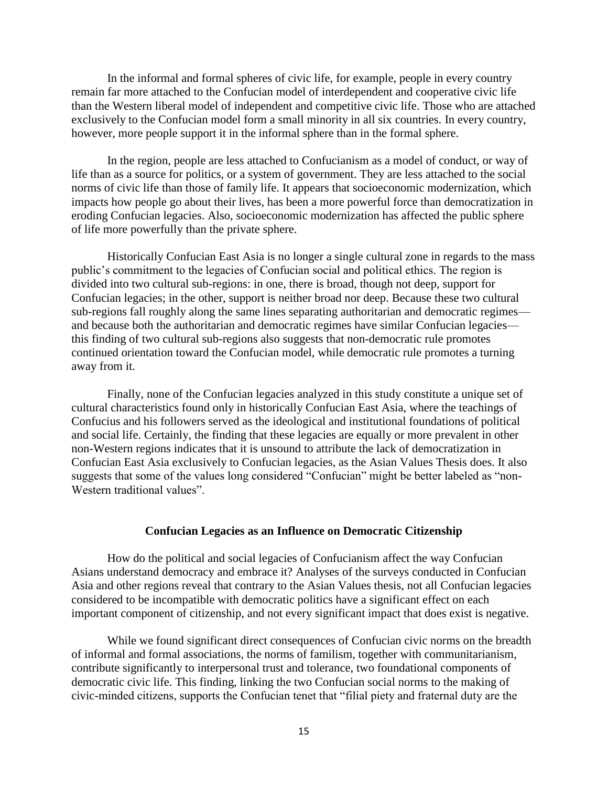In the informal and formal spheres of civic life, for example, people in every country remain far more attached to the Confucian model of interdependent and cooperative civic life than the Western liberal model of independent and competitive civic life. Those who are attached exclusively to the Confucian model form a small minority in all six countries. In every country, however, more people support it in the informal sphere than in the formal sphere.

In the region, people are less attached to Confucianism as a model of conduct, or way of life than as a source for politics, or a system of government. They are less attached to the social norms of civic life than those of family life. It appears that socioeconomic modernization, which impacts how people go about their lives, has been a more powerful force than democratization in eroding Confucian legacies. Also, socioeconomic modernization has affected the public sphere of life more powerfully than the private sphere.

Historically Confucian East Asia is no longer a single cultural zone in regards to the mass public's commitment to the legacies of Confucian social and political ethics. The region is divided into two cultural sub-regions: in one, there is broad, though not deep, support for Confucian legacies; in the other, support is neither broad nor deep. Because these two cultural sub-regions fall roughly along the same lines separating authoritarian and democratic regimes and because both the authoritarian and democratic regimes have similar Confucian legacies this finding of two cultural sub-regions also suggests that non-democratic rule promotes continued orientation toward the Confucian model, while democratic rule promotes a turning away from it.

Finally, none of the Confucian legacies analyzed in this study constitute a unique set of cultural characteristics found only in historically Confucian East Asia, where the teachings of Confucius and his followers served as the ideological and institutional foundations of political and social life. Certainly, the finding that these legacies are equally or more prevalent in other non-Western regions indicates that it is unsound to attribute the lack of democratization in Confucian East Asia exclusively to Confucian legacies, as the Asian Values Thesis does. It also suggests that some of the values long considered "Confucian" might be better labeled as "non-Western traditional values".

#### **Confucian Legacies as an Influence on Democratic Citizenship**

How do the political and social legacies of Confucianism affect the way Confucian Asians understand democracy and embrace it? Analyses of the surveys conducted in Confucian Asia and other regions reveal that contrary to the Asian Values thesis, not all Confucian legacies considered to be incompatible with democratic politics have a significant effect on each important component of citizenship, and not every significant impact that does exist is negative.

While we found significant direct consequences of Confucian civic norms on the breadth of informal and formal associations, the norms of familism, together with communitarianism, contribute significantly to interpersonal trust and tolerance, two foundational components of democratic civic life. This finding, linking the two Confucian social norms to the making of civic-minded citizens, supports the Confucian tenet that "filial piety and fraternal duty are the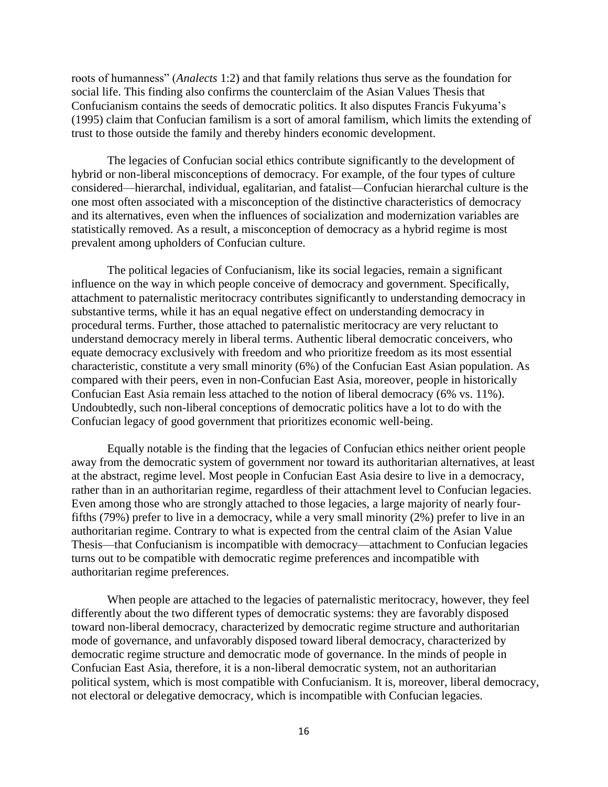roots of humanness" (*Analects* 1:2) and that family relations thus serve as the foundation for social life. This finding also confirms the counterclaim of the Asian Values Thesis that Confucianism contains the seeds of democratic politics. It also disputes Francis Fukyuma's (1995) claim that Confucian familism is a sort of amoral familism, which limits the extending of trust to those outside the family and thereby hinders economic development.

The legacies of Confucian social ethics contribute significantly to the development of hybrid or non-liberal misconceptions of democracy. For example, of the four types of culture considered—hierarchal, individual, egalitarian, and fatalist—Confucian hierarchal culture is the one most often associated with a misconception of the distinctive characteristics of democracy and its alternatives, even when the influences of socialization and modernization variables are statistically removed. As a result, a misconception of democracy as a hybrid regime is most prevalent among upholders of Confucian culture.

The political legacies of Confucianism, like its social legacies, remain a significant influence on the way in which people conceive of democracy and government. Specifically, attachment to paternalistic meritocracy contributes significantly to understanding democracy in substantive terms, while it has an equal negative effect on understanding democracy in procedural terms. Further, those attached to paternalistic meritocracy are very reluctant to understand democracy merely in liberal terms. Authentic liberal democratic conceivers, who equate democracy exclusively with freedom and who prioritize freedom as its most essential characteristic, constitute a very small minority (6%) of the Confucian East Asian population. As compared with their peers, even in non-Confucian East Asia, moreover, people in historically Confucian East Asia remain less attached to the notion of liberal democracy (6% vs. 11%). Undoubtedly, such non-liberal conceptions of democratic politics have a lot to do with the Confucian legacy of good government that prioritizes economic well-being.

Equally notable is the finding that the legacies of Confucian ethics neither orient people away from the democratic system of government nor toward its authoritarian alternatives, at least at the abstract, regime level. Most people in Confucian East Asia desire to live in a democracy, rather than in an authoritarian regime, regardless of their attachment level to Confucian legacies. Even among those who are strongly attached to those legacies, a large majority of nearly fourfifths (79%) prefer to live in a democracy, while a very small minority (2%) prefer to live in an authoritarian regime. Contrary to what is expected from the central claim of the Asian Value Thesis—that Confucianism is incompatible with democracy—attachment to Confucian legacies turns out to be compatible with democratic regime preferences and incompatible with authoritarian regime preferences.

When people are attached to the legacies of paternalistic meritocracy, however, they feel differently about the two different types of democratic systems: they are favorably disposed toward non-liberal democracy, characterized by democratic regime structure and authoritarian mode of governance, and unfavorably disposed toward liberal democracy, characterized by democratic regime structure and democratic mode of governance. In the minds of people in Confucian East Asia, therefore, it is a non-liberal democratic system, not an authoritarian political system, which is most compatible with Confucianism. It is, moreover, liberal democracy, not electoral or delegative democracy, which is incompatible with Confucian legacies.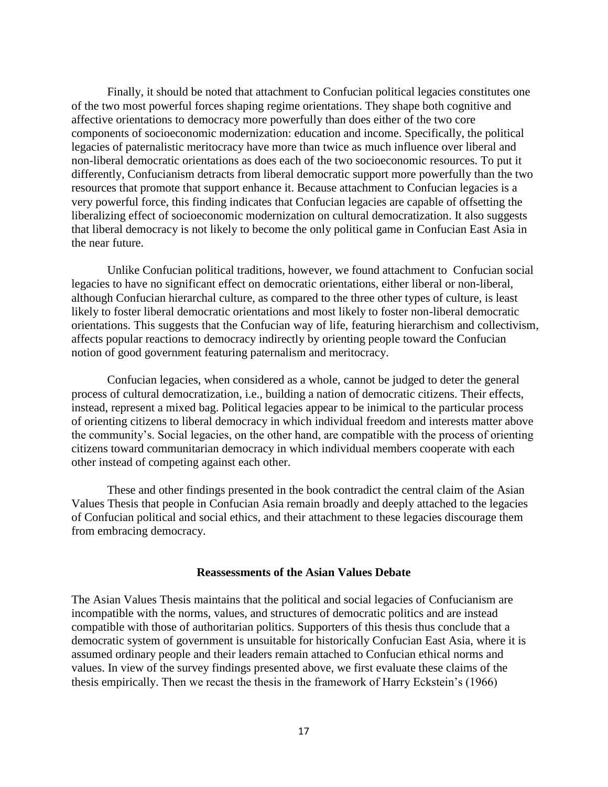Finally, it should be noted that attachment to Confucian political legacies constitutes one of the two most powerful forces shaping regime orientations. They shape both cognitive and affective orientations to democracy more powerfully than does either of the two core components of socioeconomic modernization: education and income. Specifically, the political legacies of paternalistic meritocracy have more than twice as much influence over liberal and non-liberal democratic orientations as does each of the two socioeconomic resources. To put it differently, Confucianism detracts from liberal democratic support more powerfully than the two resources that promote that support enhance it. Because attachment to Confucian legacies is a very powerful force, this finding indicates that Confucian legacies are capable of offsetting the liberalizing effect of socioeconomic modernization on cultural democratization. It also suggests that liberal democracy is not likely to become the only political game in Confucian East Asia in the near future.

Unlike Confucian political traditions, however, we found attachment to Confucian social legacies to have no significant effect on democratic orientations, either liberal or non-liberal, although Confucian hierarchal culture, as compared to the three other types of culture, is least likely to foster liberal democratic orientations and most likely to foster non-liberal democratic orientations. This suggests that the Confucian way of life, featuring hierarchism and collectivism, affects popular reactions to democracy indirectly by orienting people toward the Confucian notion of good government featuring paternalism and meritocracy.

Confucian legacies, when considered as a whole, cannot be judged to deter the general process of cultural democratization, i.e., building a nation of democratic citizens. Their effects, instead, represent a mixed bag. Political legacies appear to be inimical to the particular process of orienting citizens to liberal democracy in which individual freedom and interests matter above the community's. Social legacies, on the other hand, are compatible with the process of orienting citizens toward communitarian democracy in which individual members cooperate with each other instead of competing against each other.

These and other findings presented in the book contradict the central claim of the Asian Values Thesis that people in Confucian Asia remain broadly and deeply attached to the legacies of Confucian political and social ethics, and their attachment to these legacies discourage them from embracing democracy.

#### **Reassessments of the Asian Values Debate**

The Asian Values Thesis maintains that the political and social legacies of Confucianism are incompatible with the norms, values, and structures of democratic politics and are instead compatible with those of authoritarian politics. Supporters of this thesis thus conclude that a democratic system of government is unsuitable for historically Confucian East Asia, where it is assumed ordinary people and their leaders remain attached to Confucian ethical norms and values. In view of the survey findings presented above, we first evaluate these claims of the thesis empirically. Then we recast the thesis in the framework of Harry Eckstein's (1966)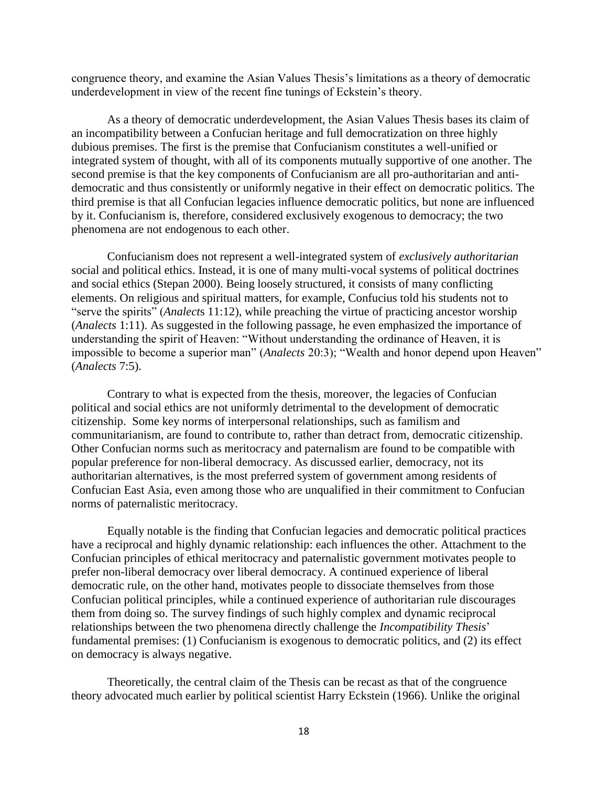congruence theory, and examine the Asian Values Thesis's limitations as a theory of democratic underdevelopment in view of the recent fine tunings of Eckstein's theory.

As a theory of democratic underdevelopment, the Asian Values Thesis bases its claim of an incompatibility between a Confucian heritage and full democratization on three highly dubious premises. The first is the premise that Confucianism constitutes a well-unified or integrated system of thought, with all of its components mutually supportive of one another. The second premise is that the key components of Confucianism are all pro-authoritarian and antidemocratic and thus consistently or uniformly negative in their effect on democratic politics. The third premise is that all Confucian legacies influence democratic politics, but none are influenced by it. Confucianism is, therefore, considered exclusively exogenous to democracy; the two phenomena are not endogenous to each other.

Confucianism does not represent a well-integrated system of *exclusively authoritarian* social and political ethics. Instead, it is one of many multi-vocal systems of political doctrines and social ethics (Stepan 2000). Being loosely structured, it consists of many conflicting elements. On religious and spiritual matters, for example, Confucius told his students not to "serve the spirits" (*Analect*s 11:12), while preaching the virtue of practicing ancestor worship (*Analects* 1:11). As suggested in the following passage, he even emphasized the importance of understanding the spirit of Heaven: "Without understanding the ordinance of Heaven, it is impossible to become a superior man" (*Analects* 20:3); "Wealth and honor depend upon Heaven" (*Analects* 7:5).

Contrary to what is expected from the thesis, moreover, the legacies of Confucian political and social ethics are not uniformly detrimental to the development of democratic citizenship. Some key norms of interpersonal relationships, such as familism and communitarianism, are found to contribute to, rather than detract from, democratic citizenship. Other Confucian norms such as meritocracy and paternalism are found to be compatible with popular preference for non-liberal democracy. As discussed earlier, democracy, not its authoritarian alternatives, is the most preferred system of government among residents of Confucian East Asia, even among those who are unqualified in their commitment to Confucian norms of paternalistic meritocracy.

Equally notable is the finding that Confucian legacies and democratic political practices have a reciprocal and highly dynamic relationship: each influences the other. Attachment to the Confucian principles of ethical meritocracy and paternalistic government motivates people to prefer non-liberal democracy over liberal democracy. A continued experience of liberal democratic rule, on the other hand, motivates people to dissociate themselves from those Confucian political principles, while a continued experience of authoritarian rule discourages them from doing so. The survey findings of such highly complex and dynamic reciprocal relationships between the two phenomena directly challenge the *Incompatibility Thesis*' fundamental premises: (1) Confucianism is exogenous to democratic politics, and (2) its effect on democracy is always negative.

Theoretically, the central claim of the Thesis can be recast as that of the congruence theory advocated much earlier by political scientist Harry Eckstein (1966). Unlike the original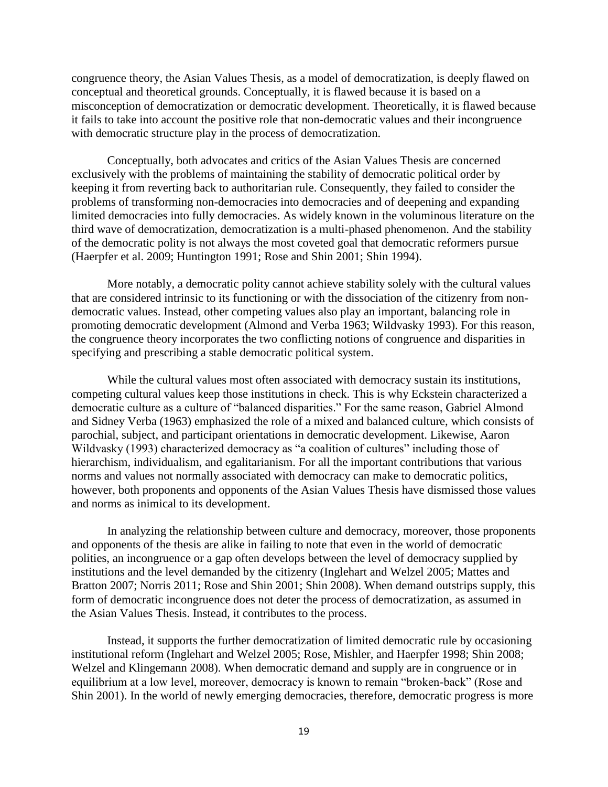congruence theory, the Asian Values Thesis, as a model of democratization, is deeply flawed on conceptual and theoretical grounds. Conceptually, it is flawed because it is based on a misconception of democratization or democratic development. Theoretically, it is flawed because it fails to take into account the positive role that non-democratic values and their incongruence with democratic structure play in the process of democratization.

Conceptually, both advocates and critics of the Asian Values Thesis are concerned exclusively with the problems of maintaining the stability of democratic political order by keeping it from reverting back to authoritarian rule. Consequently, they failed to consider the problems of transforming non-democracies into democracies and of deepening and expanding limited democracies into fully democracies. As widely known in the voluminous literature on the third wave of democratization, democratization is a multi-phased phenomenon. And the stability of the democratic polity is not always the most coveted goal that democratic reformers pursue (Haerpfer et al. 2009; Huntington 1991; Rose and Shin 2001; Shin 1994).

More notably, a democratic polity cannot achieve stability solely with the cultural values that are considered intrinsic to its functioning or with the dissociation of the citizenry from nondemocratic values. Instead, other competing values also play an important, balancing role in promoting democratic development (Almond and Verba 1963; Wildvasky 1993). For this reason, the congruence theory incorporates the two conflicting notions of congruence and disparities in specifying and prescribing a stable democratic political system.

While the cultural values most often associated with democracy sustain its institutions, competing cultural values keep those institutions in check. This is why Eckstein characterized a democratic culture as a culture of "balanced disparities." For the same reason, Gabriel Almond and Sidney Verba (1963) emphasized the role of a mixed and balanced culture, which consists of parochial, subject, and participant orientations in democratic development. Likewise, Aaron Wildvasky (1993) characterized democracy as "a coalition of cultures" including those of hierarchism, individualism, and egalitarianism. For all the important contributions that various norms and values not normally associated with democracy can make to democratic politics, however, both proponents and opponents of the Asian Values Thesis have dismissed those values and norms as inimical to its development.

In analyzing the relationship between culture and democracy, moreover, those proponents and opponents of the thesis are alike in failing to note that even in the world of democratic polities, an incongruence or a gap often develops between the level of democracy supplied by institutions and the level demanded by the citizenry (Inglehart and Welzel 2005; Mattes and Bratton 2007; Norris 2011; Rose and Shin 2001; Shin 2008). When demand outstrips supply, this form of democratic incongruence does not deter the process of democratization, as assumed in the Asian Values Thesis. Instead, it contributes to the process.

Instead, it supports the further democratization of limited democratic rule by occasioning institutional reform (Inglehart and Welzel 2005; Rose, Mishler, and Haerpfer 1998; Shin 2008; Welzel and Klingemann 2008). When democratic demand and supply are in congruence or in equilibrium at a low level, moreover, democracy is known to remain "broken-back" (Rose and Shin 2001). In the world of newly emerging democracies, therefore, democratic progress is more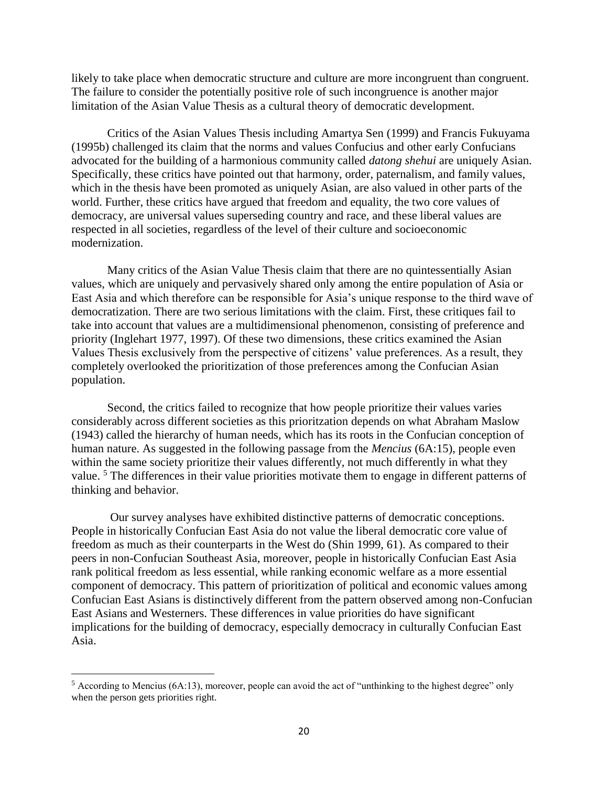likely to take place when democratic structure and culture are more incongruent than congruent. The failure to consider the potentially positive role of such incongruence is another major limitation of the Asian Value Thesis as a cultural theory of democratic development.

Critics of the Asian Values Thesis including Amartya Sen (1999) and Francis Fukuyama (1995b) challenged its claim that the norms and values Confucius and other early Confucians advocated for the building of a harmonious community called *datong shehui* are uniquely Asian. Specifically, these critics have pointed out that harmony, order, paternalism, and family values, which in the thesis have been promoted as uniquely Asian, are also valued in other parts of the world. Further, these critics have argued that freedom and equality, the two core values of democracy, are universal values superseding country and race, and these liberal values are respected in all societies, regardless of the level of their culture and socioeconomic modernization.

Many critics of the Asian Value Thesis claim that there are no quintessentially Asian values, which are uniquely and pervasively shared only among the entire population of Asia or East Asia and which therefore can be responsible for Asia's unique response to the third wave of democratization. There are two serious limitations with the claim. First, these critiques fail to take into account that values are a multidimensional phenomenon, consisting of preference and priority (Inglehart 1977, 1997). Of these two dimensions, these critics examined the Asian Values Thesis exclusively from the perspective of citizens' value preferences. As a result, they completely overlooked the prioritization of those preferences among the Confucian Asian population.

Second, the critics failed to recognize that how people prioritize their values varies considerably across different societies as this prioritzation depends on what Abraham Maslow (1943) called the hierarchy of human needs, which has its roots in the Confucian conception of human nature. As suggested in the following passage from the *Mencius* (6A:15), people even within the same society prioritize their values differently, not much differently in what they value. <sup>5</sup> The differences in their value priorities motivate them to engage in different patterns of thinking and behavior.

Our survey analyses have exhibited distinctive patterns of democratic conceptions. People in historically Confucian East Asia do not value the liberal democratic core value of freedom as much as their counterparts in the West do (Shin 1999, 61). As compared to their peers in non-Confucian Southeast Asia, moreover, people in historically Confucian East Asia rank political freedom as less essential, while ranking economic welfare as a more essential component of democracy. This pattern of prioritization of political and economic values among Confucian East Asians is distinctively different from the pattern observed among non-Confucian East Asians and Westerners. These differences in value priorities do have significant implications for the building of democracy, especially democracy in culturally Confucian East Asia.

l

<sup>5</sup> According to Mencius (6A:13), moreover, people can avoid the act of "unthinking to the highest degree" only when the person gets priorities right.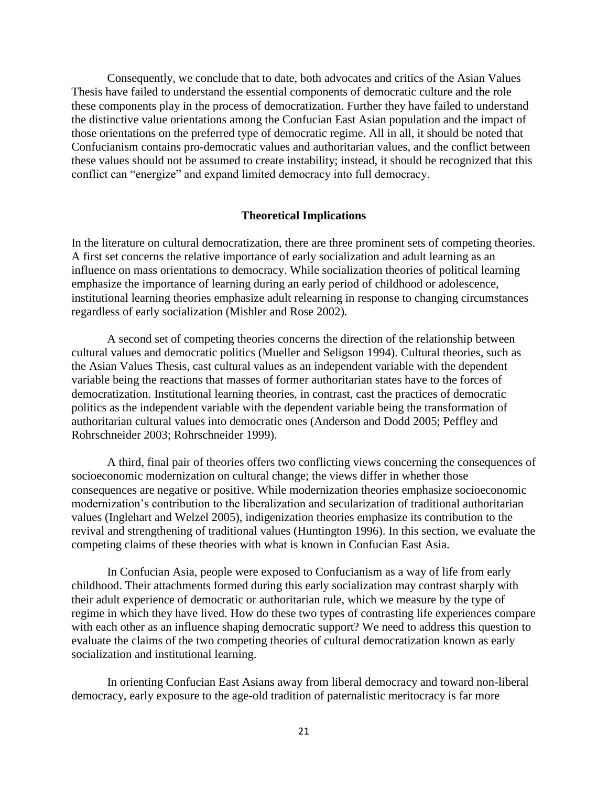Consequently, we conclude that to date, both advocates and critics of the Asian Values Thesis have failed to understand the essential components of democratic culture and the role these components play in the process of democratization. Further they have failed to understand the distinctive value orientations among the Confucian East Asian population and the impact of those orientations on the preferred type of democratic regime. All in all, it should be noted that Confucianism contains pro-democratic values and authoritarian values, and the conflict between these values should not be assumed to create instability; instead, it should be recognized that this conflict can "energize" and expand limited democracy into full democracy.

#### **Theoretical Implications**

In the literature on cultural democratization, there are three prominent sets of competing theories. A first set concerns the relative importance of early socialization and adult learning as an influence on mass orientations to democracy. While socialization theories of political learning emphasize the importance of learning during an early period of childhood or adolescence, institutional learning theories emphasize adult relearning in response to changing circumstances regardless of early socialization (Mishler and Rose 2002)*.*

A second set of competing theories concerns the direction of the relationship between cultural values and democratic politics (Mueller and Seligson 1994). Cultural theories, such as the Asian Values Thesis, cast cultural values as an independent variable with the dependent variable being the reactions that masses of former authoritarian states have to the forces of democratization. Institutional learning theories, in contrast, cast the practices of democratic politics as the independent variable with the dependent variable being the transformation of authoritarian cultural values into democratic ones (Anderson and Dodd 2005; Peffley and Rohrschneider 2003; Rohrschneider 1999).

A third, final pair of theories offers two conflicting views concerning the consequences of socioeconomic modernization on cultural change; the views differ in whether those consequences are negative or positive. While modernization theories emphasize socioeconomic modernization's contribution to the liberalization and secularization of traditional authoritarian values (Inglehart and Welzel 2005), indigenization theories emphasize its contribution to the revival and strengthening of traditional values (Huntington 1996). In this section, we evaluate the competing claims of these theories with what is known in Confucian East Asia.

In Confucian Asia, people were exposed to Confucianism as a way of life from early childhood. Their attachments formed during this early socialization may contrast sharply with their adult experience of democratic or authoritarian rule, which we measure by the type of regime in which they have lived. How do these two types of contrasting life experiences compare with each other as an influence shaping democratic support? We need to address this question to evaluate the claims of the two competing theories of cultural democratization known as early socialization and institutional learning.

In orienting Confucian East Asians away from liberal democracy and toward non-liberal democracy, early exposure to the age-old tradition of paternalistic meritocracy is far more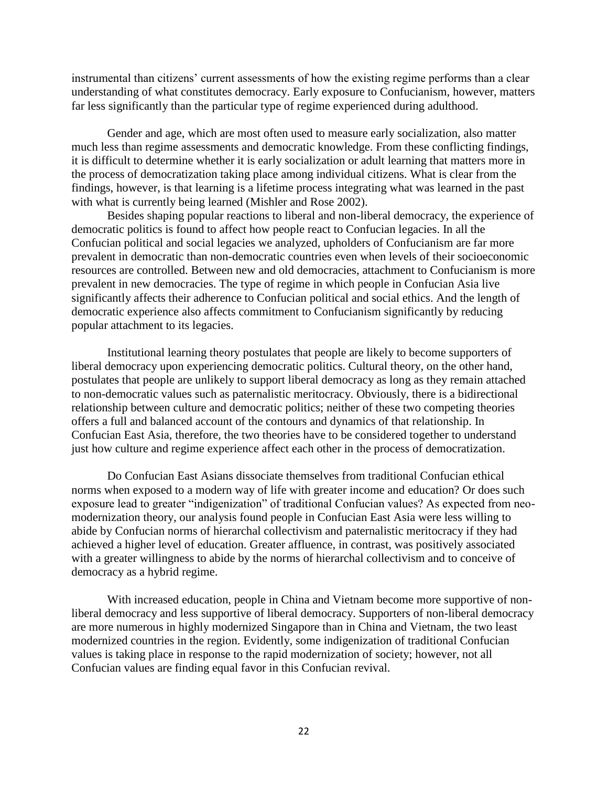instrumental than citizens' current assessments of how the existing regime performs than a clear understanding of what constitutes democracy. Early exposure to Confucianism, however, matters far less significantly than the particular type of regime experienced during adulthood.

Gender and age, which are most often used to measure early socialization, also matter much less than regime assessments and democratic knowledge. From these conflicting findings, it is difficult to determine whether it is early socialization or adult learning that matters more in the process of democratization taking place among individual citizens. What is clear from the findings, however, is that learning is a lifetime process integrating what was learned in the past with what is currently being learned (Mishler and Rose 2002).

Besides shaping popular reactions to liberal and non-liberal democracy, the experience of democratic politics is found to affect how people react to Confucian legacies. In all the Confucian political and social legacies we analyzed, upholders of Confucianism are far more prevalent in democratic than non-democratic countries even when levels of their socioeconomic resources are controlled. Between new and old democracies, attachment to Confucianism is more prevalent in new democracies. The type of regime in which people in Confucian Asia live significantly affects their adherence to Confucian political and social ethics. And the length of democratic experience also affects commitment to Confucianism significantly by reducing popular attachment to its legacies.

Institutional learning theory postulates that people are likely to become supporters of liberal democracy upon experiencing democratic politics. Cultural theory, on the other hand, postulates that people are unlikely to support liberal democracy as long as they remain attached to non-democratic values such as paternalistic meritocracy. Obviously, there is a bidirectional relationship between culture and democratic politics; neither of these two competing theories offers a full and balanced account of the contours and dynamics of that relationship. In Confucian East Asia, therefore, the two theories have to be considered together to understand just how culture and regime experience affect each other in the process of democratization.

Do Confucian East Asians dissociate themselves from traditional Confucian ethical norms when exposed to a modern way of life with greater income and education? Or does such exposure lead to greater "indigenization" of traditional Confucian values? As expected from neomodernization theory, our analysis found people in Confucian East Asia were less willing to abide by Confucian norms of hierarchal collectivism and paternalistic meritocracy if they had achieved a higher level of education. Greater affluence, in contrast, was positively associated with a greater willingness to abide by the norms of hierarchal collectivism and to conceive of democracy as a hybrid regime.

With increased education, people in China and Vietnam become more supportive of nonliberal democracy and less supportive of liberal democracy. Supporters of non-liberal democracy are more numerous in highly modernized Singapore than in China and Vietnam, the two least modernized countries in the region. Evidently, some indigenization of traditional Confucian values is taking place in response to the rapid modernization of society; however, not all Confucian values are finding equal favor in this Confucian revival.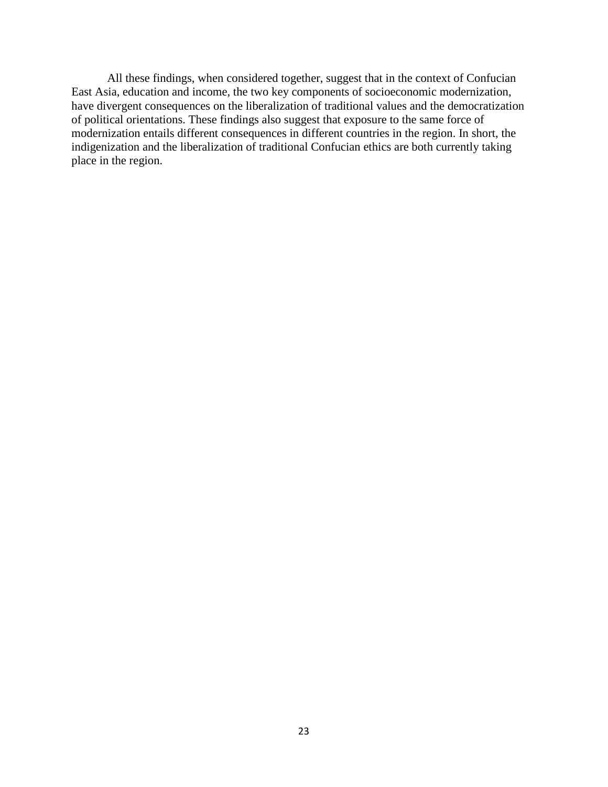All these findings, when considered together, suggest that in the context of Confucian East Asia, education and income, the two key components of socioeconomic modernization, have divergent consequences on the liberalization of traditional values and the democratization of political orientations. These findings also suggest that exposure to the same force of modernization entails different consequences in different countries in the region. In short, the indigenization and the liberalization of traditional Confucian ethics are both currently taking place in the region.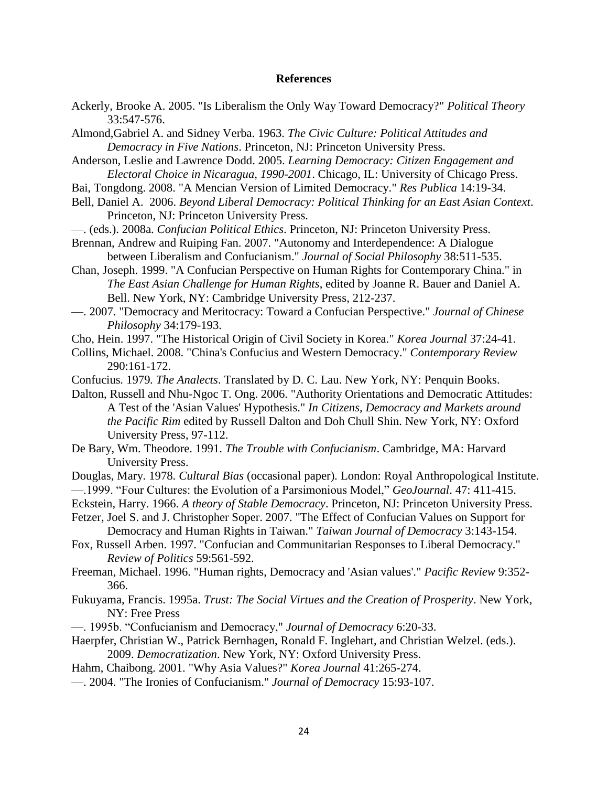#### **References**

| Ackerly, Brooke A. 2005. "Is Liberalism the Only Way Toward Democracy?" Political Theory           |
|----------------------------------------------------------------------------------------------------|
| 33:547-576.                                                                                        |
| Almond, Gabriel A. and Sidney Verba. 1963. The Civic Culture: Political Attitudes and              |
| Democracy in Five Nations. Princeton, NJ: Princeton University Press.                              |
| Anderson, Leslie and Lawrence Dodd. 2005. Learning Democracy: Citizen Engagement and               |
| Electoral Choice in Nicaragua, 1990-2001. Chicago, IL: University of Chicago Press.                |
| Bai, Tongdong. 2008. "A Mencian Version of Limited Democracy." Res Publica 14:19-34.               |
| Bell, Daniel A. 2006. Beyond Liberal Democracy: Political Thinking for an East Asian Context.      |
| Princeton, NJ: Princeton University Press.                                                         |
| -. (eds.). 2008a. Confucian Political Ethics. Princeton, NJ: Princeton University Press.           |
| Brennan, Andrew and Ruiping Fan. 2007. "Autonomy and Interdependence: A Dialogue                   |
| between Liberalism and Confucianism." Journal of Social Philosophy 38:511-535.                     |
| Chan, Joseph. 1999. "A Confucian Perspective on Human Rights for Contemporary China." in           |
| The East Asian Challenge for Human Rights, edited by Joanne R. Bauer and Daniel A.                 |
| Bell. New York, NY: Cambridge University Press, 212-237.                                           |
| -. 2007. "Democracy and Meritocracy: Toward a Confucian Perspective." Journal of Chinese           |
| Philosophy 34:179-193.                                                                             |
| Cho, Hein. 1997. "The Historical Origin of Civil Society in Korea." <i>Korea Journal</i> 37:24-41. |
| Collins, Michael. 2008. "China's Confucius and Western Democracy." Contemporary Review             |
| 290:161-172.                                                                                       |
| Confucius. 1979. The Analects. Translated by D. C. Lau. New York, NY: Penquin Books.               |
| Dalton, Russell and Nhu-Ngoc T. Ong. 2006. "Authority Orientations and Democratic Attitudes:       |
| A Test of the 'Asian Values' Hypothesis." In Citizens, Democracy and Markets around                |
| the Pacific Rim edited by Russell Dalton and Doh Chull Shin. New York, NY: Oxford                  |
| University Press, 97-112.                                                                          |

- De Bary, Wm. Theodore. 1991. *The Trouble with Confucianism*. Cambridge, MA: Harvard University Press.
- Douglas, Mary. 1978. *Cultural Bias* (occasional paper). London: Royal Anthropological Institute.
- ––.1999. "Four Cultures: the Evolution of a Parsimonious Model," *GeoJournal*. 47: 411-415.
- Eckstein, Harry. 1966. *A theory of Stable Democracy*. Princeton, NJ: Princeton University Press.
- Fetzer, Joel S. and J. Christopher Soper. 2007. "The Effect of Confucian Values on Support for Democracy and Human Rights in Taiwan." *Taiwan Journal of Democracy* 3:143-154.
- Fox, Russell Arben. 1997. "Confucian and Communitarian Responses to Liberal Democracy." *Review of Politics* 59:561-592.
- Freeman, Michael. 1996. "Human rights, Democracy and 'Asian values'." *Pacific Review* 9:352- 366.
- Fukuyama, Francis. 1995a. *Trust: The Social Virtues and the Creation of Prosperity*. New York, NY: Free Press
- —. 1995b. "Confucianism and Democracy," *Journal of Democracy* 6:20-33.
- Haerpfer, Christian W., Patrick Bernhagen, Ronald F. Inglehart, and Christian Welzel. (eds.). 2009. *Democratization*. New York, NY: Oxford University Press.
- Hahm, Chaibong. 2001. "Why Asia Values?" *Korea Journal* 41:265-274.
- —. 2004. "The Ironies of Confucianism." *Journal of Democracy* 15:93-107.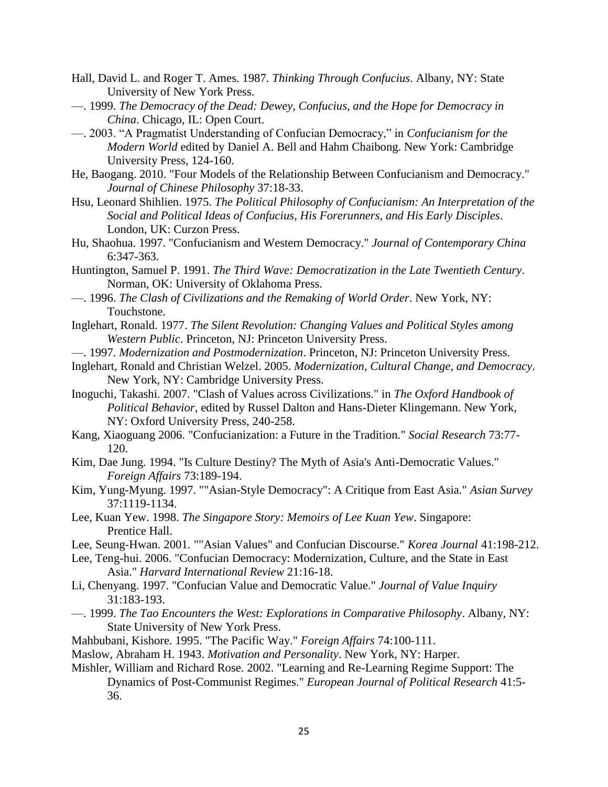- Hall, David L. and Roger T. Ames. 1987. *Thinking Through Confucius*. Albany, NY: State University of New York Press.
- —. 1999. *The Democracy of the Dead: Dewey, Confucius, and the Hope for Democracy in China*. Chicago, IL: Open Court.
- —. 2003. "A Pragmatist Understanding of Confucian Democracy," in *Confucianism for the Modern World* edited by Daniel A. Bell and Hahm Chaibong. New York: Cambridge University Press, 124-160.
- He, Baogang. 2010. "Four Models of the Relationship Between Confucianism and Democracy." *Journal of Chinese Philosophy* 37:18-33.
- Hsu, Leonard Shihlien. 1975. *The Political Philosophy of Confucianism: An Interpretation of the Social and Political Ideas of Confucius, His Forerunners, and His Early Disciples*. London, UK: Curzon Press.
- Hu, Shaohua. 1997. "Confucianism and Western Democracy." *Journal of Contemporary China* 6:347-363.
- Huntington, Samuel P. 1991. *The Third Wave: Democratization in the Late Twentieth Century*. Norman, OK: University of Oklahoma Press.
- —. 1996. *The Clash of Civilizations and the Remaking of World Order*. New York, NY: Touchstone.
- Inglehart, Ronald. 1977. *The Silent Revolution: Changing Values and Political Styles among Western Public*. Princeton, NJ: Princeton University Press.
- —. 1997*. Modernization and Postmodernization*. Princeton, NJ: Princeton University Press.
- Inglehart, Ronald and Christian Welzel. 2005. *Modernization, Cultural Change, and Democracy*. New York, NY: Cambridge University Press.
- Inoguchi, Takashi. 2007. "Clash of Values across Civilizations." in *The Oxford Handbook of Political Behavior*, edited by Russel Dalton and Hans-Dieter Klingemann. New York, NY: Oxford University Press, 240-258.
- Kang, Xiaoguang 2006. "Confucianization: a Future in the Tradition." *Social Research* 73:77- 120.
- Kim, Dae Jung. 1994. "Is Culture Destiny? The Myth of Asia's Anti-Democratic Values." *Foreign Affairs* 73:189-194.
- Kim, Yung-Myung. 1997. ""Asian-Style Democracy": A Critique from East Asia." *Asian Survey* 37:1119-1134.
- Lee, Kuan Yew. 1998. *The Singapore Story: Memoirs of Lee Kuan Yew*. Singapore: Prentice Hall.
- Lee, Seung-Hwan. 2001. ""Asian Values" and Confucian Discourse." *Korea Journal* 41:198-212.
- Lee, Teng-hui. 2006. "Confucian Democracy: Modernization, Culture, and the State in East Asia." *Harvard International Review* 21:16-18.
- Li, Chenyang. 1997. "Confucian Value and Democratic Value." *Journal of Value Inquiry* 31:183-193.
- —. 1999. *The Tao Encounters the West: Explorations in Comparative Philosophy*. Albany, NY: State University of New York Press.
- Mahbubani, Kishore. 1995. "The Pacific Way." *Foreign Affairs* 74:100-111.
- Maslow, Abraham H. 1943. *Motivation and Personality*. New York, NY: Harper.
- Mishler, William and Richard Rose. 2002. "Learning and Re-Learning Regime Support: The Dynamics of Post-Communist Regimes." *European Journal of Political Research* 41:5- 36.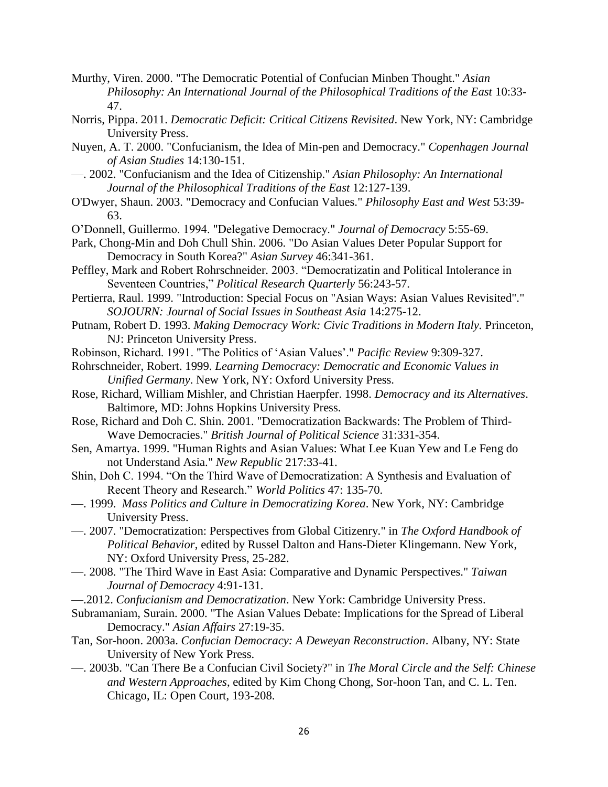- Murthy, Viren. 2000. "The Democratic Potential of Confucian Minben Thought." *Asian Philosophy: An International Journal of the Philosophical Traditions of the East* 10:33- 47.
- Norris, Pippa. 2011. *Democratic Deficit: Critical Citizens Revisited*. New York, NY: Cambridge University Press.
- Nuyen, A. T. 2000. "Confucianism, the Idea of Min-pen and Democracy." *Copenhagen Journal of Asian Studies* 14:130-151.
- —. 2002. "Confucianism and the Idea of Citizenship." *Asian Philosophy: An International Journal of the Philosophical Traditions of the East* 12:127-139.
- O'Dwyer, Shaun. 2003. "Democracy and Confucian Values." *Philosophy East and West* 53:39- 63.
- O'Donnell, Guillermo. 1994. "Delegative Democracy." *Journal of Democracy* 5:55-69.
- Park, Chong-Min and Doh Chull Shin. 2006. "Do Asian Values Deter Popular Support for Democracy in South Korea?" *Asian Survey* 46:341-361.
- Peffley, Mark and Robert Rohrschneider. 2003. "Democratizatin and Political Intolerance in Seventeen Countries," *Political Research Quarterly* 56:243-57.
- Pertierra, Raul. 1999. "Introduction: Special Focus on "Asian Ways: Asian Values Revisited"." *SOJOURN: Journal of Social Issues in Southeast Asia* 14:275-12.
- Putnam, Robert D. 1993. *Making Democracy Work: Civic Traditions in Modern Italy.* Princeton, NJ: Princeton University Press.
- Robinson, Richard. 1991. "The Politics of 'Asian Values'." *Pacific Review* 9:309-327.
- Rohrschneider, Robert. 1999. *Learning Democracy: Democratic and Economic Values in Unified Germany*. New York, NY: Oxford University Press.
- Rose, Richard, William Mishler, and Christian Haerpfer. 1998. *Democracy and its Alternatives*. Baltimore, MD: Johns Hopkins University Press.
- Rose, Richard and Doh C. Shin. 2001. "Democratization Backwards: The Problem of Third-Wave Democracies." *British Journal of Political Science* 31:331-354.
- Sen, Amartya. 1999. "Human Rights and Asian Values: What Lee Kuan Yew and Le Feng do not Understand Asia." *New Republic* 217:33-41.
- Shin, Doh C. 1994. "On the Third Wave of Democratization: A Synthesis and Evaluation of Recent Theory and Research." *World Politics* 47: 135-70.
- —. 1999. *Mass Politics and Culture in Democratizing Korea*. New York, NY: Cambridge University Press.
- —. 2007. "Democratization: Perspectives from Global Citizenry." in *The Oxford Handbook of Political Behavior*, edited by Russel Dalton and Hans-Dieter Klingemann. New York, NY: Oxford University Press, 25-282.
- —. 2008. "The Third Wave in East Asia: Comparative and Dynamic Perspectives." *Taiwan Journal of Democracy* 4:91-131.
- —.2012. *Confucianism and Democratization*. New York: Cambridge University Press.
- Subramaniam, Surain. 2000. "The Asian Values Debate: Implications for the Spread of Liberal Democracy." *Asian Affairs* 27:19-35.
- Tan, Sor-hoon. 2003a. *Confucian Democracy: A Deweyan Reconstruction*. Albany, NY: State University of New York Press.
- —. 2003b. "Can There Be a Confucian Civil Society?" in *The Moral Circle and the Self: Chinese and Western Approaches*, edited by Kim Chong Chong, Sor-hoon Tan, and C. L. Ten. Chicago, IL: Open Court, 193-208.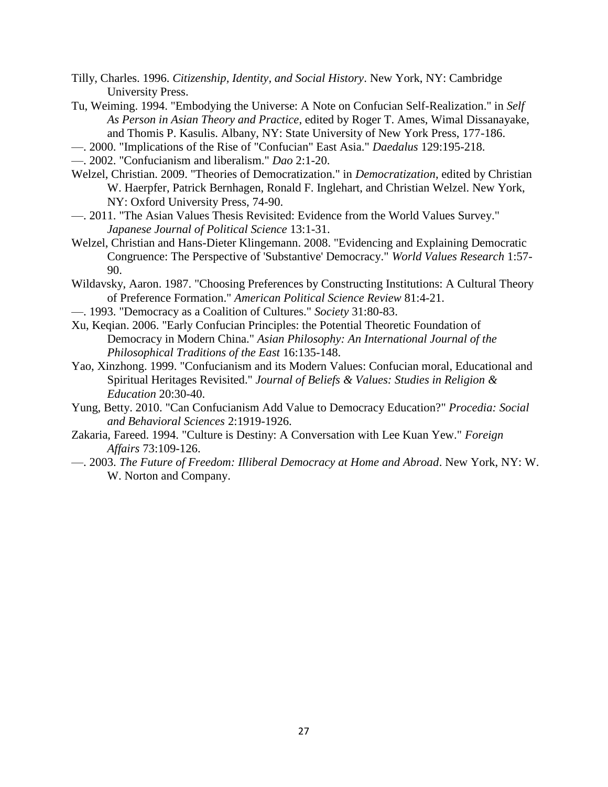- Tilly, Charles. 1996. *Citizenship, Identity, and Social History*. New York, NY: Cambridge University Press.
- Tu, Weiming. 1994. "Embodying the Universe: A Note on Confucian Self-Realization." in *Self As Person in Asian Theory and Practice*, edited by Roger T. Ames, Wimal Dissanayake, and Thomis P. Kasulis. Albany, NY: State University of New York Press, 177-186.
- —. 2000. "Implications of the Rise of "Confucian" East Asia." *Daedalus* 129:195-218.
- —. 2002. "Confucianism and liberalism." *Dao* 2:1-20.
- Welzel, Christian. 2009. "Theories of Democratization." in *Democratization*, edited by Christian W. Haerpfer, Patrick Bernhagen, Ronald F. Inglehart, and Christian Welzel. New York, NY: Oxford University Press, 74-90.
- —. 2011. "The Asian Values Thesis Revisited: Evidence from the World Values Survey." *Japanese Journal of Political Science* 13:1-31.
- Welzel, Christian and Hans-Dieter Klingemann. 2008. "Evidencing and Explaining Democratic Congruence: The Perspective of 'Substantive' Democracy." *World Values Research* 1:57- 90.
- Wildavsky, Aaron. 1987. "Choosing Preferences by Constructing Institutions: A Cultural Theory of Preference Formation." *American Political Science Review* 81:4-21.
- —. 1993. "Democracy as a Coalition of Cultures." *Society* 31:80-83.
- Xu, Keqian. 2006. "Early Confucian Principles: the Potential Theoretic Foundation of Democracy in Modern China." *Asian Philosophy: An International Journal of the Philosophical Traditions of the East* 16:135-148.
- Yao, Xinzhong. 1999. "Confucianism and its Modern Values: Confucian moral, Educational and Spiritual Heritages Revisited." *Journal of Beliefs & Values: Studies in Religion & Education* 20:30-40.
- Yung, Betty. 2010. "Can Confucianism Add Value to Democracy Education?" *Procedia: Social and Behavioral Sciences* 2:1919-1926.
- Zakaria, Fareed. 1994. "Culture is Destiny: A Conversation with Lee Kuan Yew." *Foreign Affairs* 73:109-126.
- —. 2003. *The Future of Freedom: Illiberal Democracy at Home and Abroad*. New York, NY: W. W. Norton and Company.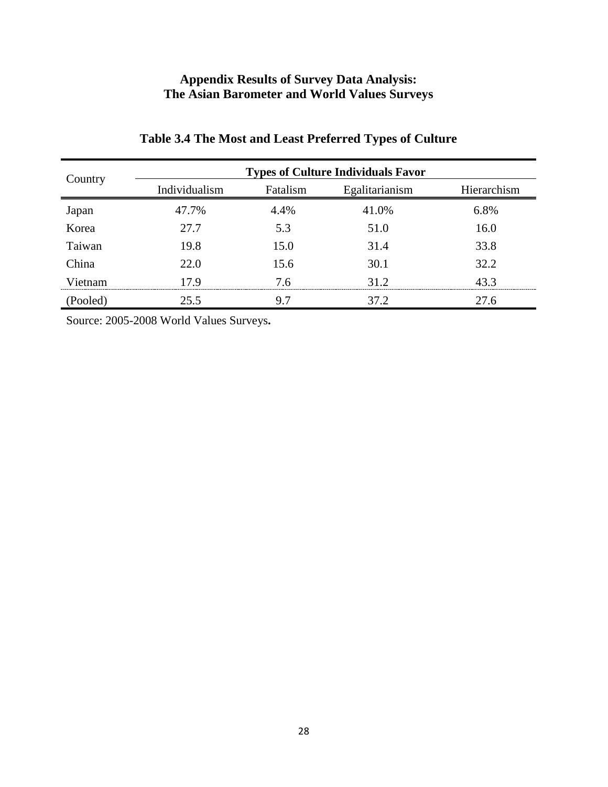## **Appendix Results of Survey Data Analysis: The Asian Barometer and World Values Surveys**

| Country  |               |          | <b>Types of Culture Individuals Favor</b> |             |
|----------|---------------|----------|-------------------------------------------|-------------|
|          | Individualism | Fatalism | Egalitarianism                            | Hierarchism |
| Japan    | 47.7%         | 4.4%     | 41.0%                                     | 6.8%        |
| Korea    | 27.7          | 5.3      | 51.0                                      | 16.0        |
| Taiwan   | 19.8          | 15.0     | 31.4                                      | 33.8        |
| China    | 22.0          | 15.6     | 30.1                                      | 32.2        |
| Vietnam  | 17 Q          | 7.6      | 31.2                                      | 43.3        |
| (Pooled) | 25.5          | 9.7      | 37.2                                      | 27.6        |

## **Table 3.4 The Most and Least Preferred Types of Culture**

Source: 2005-2008 World Values Surveys**.**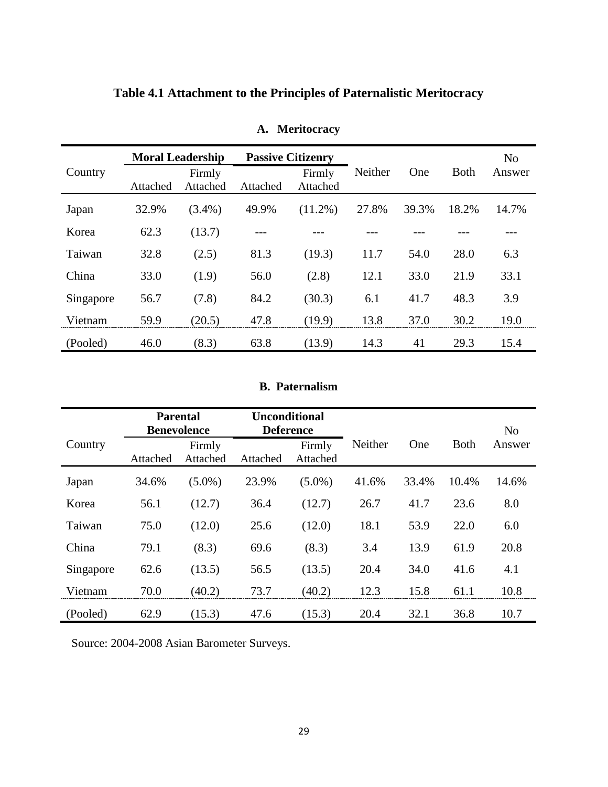| Country   | Attached | <b>Moral Leadership</b><br>Firmly<br>Attached | <b>Passive Citizenry</b><br>Firmly<br>Attached<br>Attached |            | Neither | One   | <b>B</b> oth | N <sub>o</sub><br>Answer |
|-----------|----------|-----------------------------------------------|------------------------------------------------------------|------------|---------|-------|--------------|--------------------------|
| Japan     | 32.9%    | $(3.4\%)$                                     | 49.9%                                                      | $(11.2\%)$ | 27.8%   | 39.3% | 18.2%        | 14.7%                    |
| Korea     | 62.3     | (13.7)                                        |                                                            |            |         |       |              |                          |
| Taiwan    | 32.8     | (2.5)                                         | 81.3                                                       | (19.3)     | 11.7    | 54.0  | 28.0         | 6.3                      |
| China     | 33.0     | (1.9)                                         | 56.0                                                       | (2.8)      | 12.1    | 33.0  | 21.9         | 33.1                     |
| Singapore | 56.7     | (7.8)                                         | 84.2                                                       | (30.3)     | 6.1     | 41.7  | 48.3         | 3.9                      |
| Vietnam   | 59.9     | (20.5)                                        | 47.8                                                       | (19.9)     | 13.8    | 37.0  | 30.2         | 19.0                     |
| (Pooled)  | 46.0     | (8.3)                                         | 63.8                                                       | (13.9)     | 14.3    | 41    | 29.3         | 15.4                     |

## **Table 4.1 Attachment to the Principles of Paternalistic Meritocracy**

**A. Meritocracy**

#### **B. Paternalism**

|           |          | <b>Parental</b><br><b>Benevolence</b> | <b>Unconditional</b><br><b>Deference</b> |                    |         |       |             | N <sub>o</sub> |
|-----------|----------|---------------------------------------|------------------------------------------|--------------------|---------|-------|-------------|----------------|
| Country   | Attached | Firmly<br>Attached                    | Attached                                 | Firmly<br>Attached | Neither | One   | <b>Both</b> | Answer         |
| Japan     | 34.6%    | $(5.0\%)$                             | 23.9%                                    | $(5.0\%)$          | 41.6%   | 33.4% | 10.4%       | 14.6%          |
| Korea     | 56.1     | (12.7)                                | 36.4                                     | (12.7)             | 26.7    | 41.7  | 23.6        | 8.0            |
| Taiwan    | 75.0     | (12.0)                                | 25.6                                     | (12.0)             | 18.1    | 53.9  | 22.0        | 6.0            |
| China     | 79.1     | (8.3)                                 | 69.6                                     | (8.3)              | 3.4     | 13.9  | 61.9        | 20.8           |
| Singapore | 62.6     | (13.5)                                | 56.5                                     | (13.5)             | 20.4    | 34.0  | 41.6        | 4.1            |
| Vietnam   | 70.0     | (40.2)                                | 73.7                                     | (40.2)             | 12.3    | 15.8  | 61.1        | 10.8           |
| (Pooled)  | 62.9     | (15.3)                                | 47.6                                     | (15.3)             | 20.4    | 32.1  | 36.8        | 10.7           |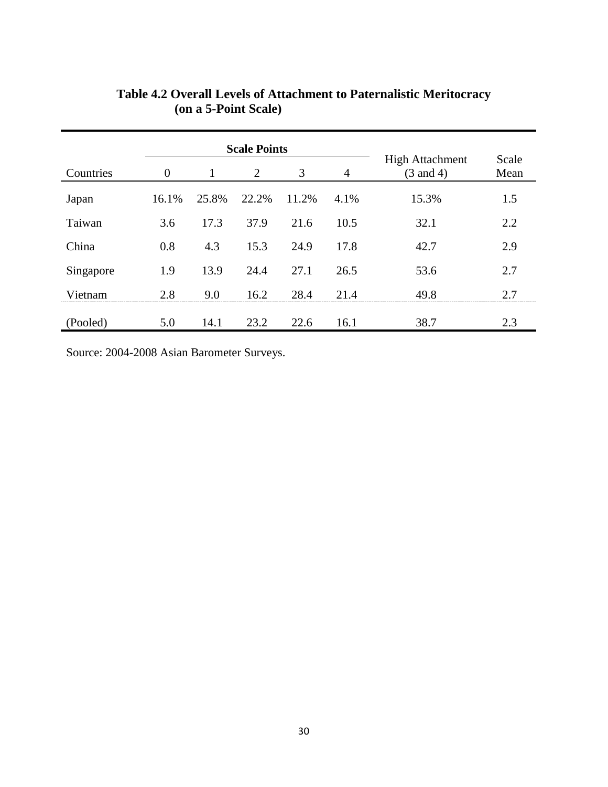|           |                | <b>Scale Points</b> |       |       |      |                                                |               |
|-----------|----------------|---------------------|-------|-------|------|------------------------------------------------|---------------|
| Countries | $\overline{0}$ |                     | 2     | 3     | 4    | <b>High Attachment</b><br>$(3 \text{ and } 4)$ | Scale<br>Mean |
| Japan     | 16.1%          | 25.8%               | 22.2% | 11.2% | 4.1% | 15.3%                                          | 1.5           |
| Taiwan    | 3.6            | 17.3                | 37.9  | 21.6  | 10.5 | 32.1                                           | 2.2           |
| China     | 0.8            | 4.3                 | 15.3  | 24.9  | 17.8 | 42.7                                           | 2.9           |
| Singapore | 1.9            | 13.9                | 24.4  | 27.1  | 26.5 | 53.6                                           | 2.7           |
| Vietnam   | 2.8            | 9.0                 | 16.2  | 28.4  | 21.4 | 49.8                                           | 2.7           |
| (Pooled)  | 5.0            | 14.1                | 23.2  | 22.6  | 16.1 | 38.7                                           | 2.3           |

## **Table 4.2 Overall Levels of Attachment to Paternalistic Meritocracy (on a 5-Point Scale)**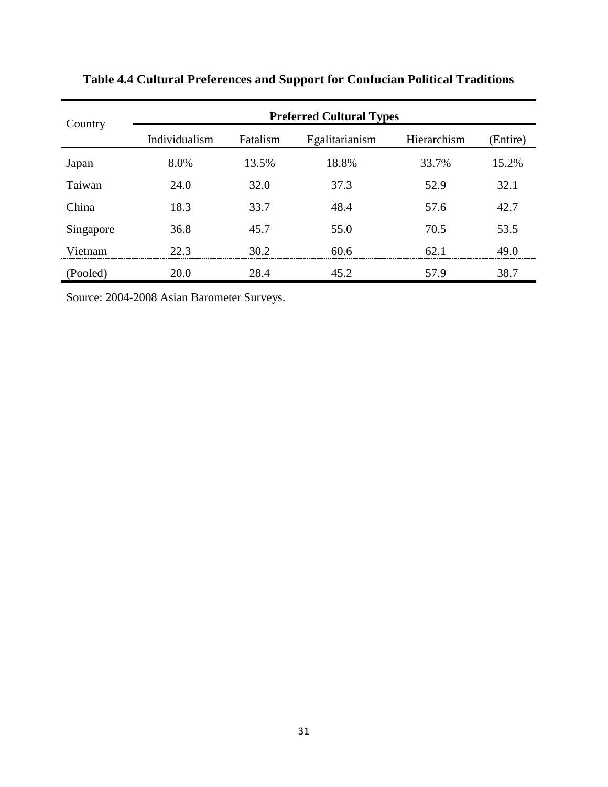| Country   | <b>Preferred Cultural Types</b> |          |                |             |          |  |  |  |  |  |
|-----------|---------------------------------|----------|----------------|-------------|----------|--|--|--|--|--|
|           | Individualism                   | Fatalism | Egalitarianism | Hierarchism | (Entire) |  |  |  |  |  |
| Japan     | 8.0%                            | 13.5%    | 18.8%          | 33.7%       | 15.2%    |  |  |  |  |  |
| Taiwan    | 24.0                            | 32.0     | 37.3           | 52.9        | 32.1     |  |  |  |  |  |
| China     | 18.3                            | 33.7     | 48.4           | 57.6        | 42.7     |  |  |  |  |  |
| Singapore | 36.8                            | 45.7     | 55.0           | 70.5        | 53.5     |  |  |  |  |  |
| Vietnam   | 22.3                            | 30.2     | 60.6           | 62.1        | 49.0     |  |  |  |  |  |
| (Pooled)  | 20.0                            | 28.4     | 45.2           | 57.9        | 38.7     |  |  |  |  |  |

**Table 4.4 Cultural Preferences and Support for Confucian Political Traditions**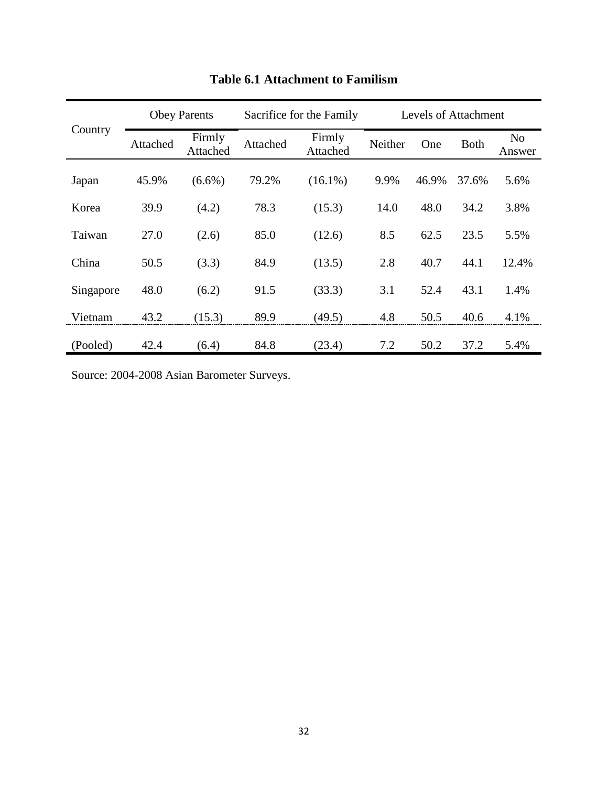| Country   | <b>Obey Parents</b> |                    | Sacrifice for the Family |                    | Levels of Attachment |       |             |                          |
|-----------|---------------------|--------------------|--------------------------|--------------------|----------------------|-------|-------------|--------------------------|
|           | Attached            | Firmly<br>Attached | Attached                 | Firmly<br>Attached | Neither              | One   | <b>Both</b> | N <sub>o</sub><br>Answer |
| Japan     | 45.9%               | $(6.6\%)$          | 79.2%                    | $(16.1\%)$         | 9.9%                 | 46.9% | 37.6%       | 5.6%                     |
| Korea     | 39.9                | (4.2)              | 78.3                     | (15.3)             | 14.0                 | 48.0  | 34.2        | 3.8%                     |
| Taiwan    | 27.0                | (2.6)              | 85.0                     | (12.6)             | 8.5                  | 62.5  | 23.5        | 5.5%                     |
| China     | 50.5                | (3.3)              | 84.9                     | (13.5)             | 2.8                  | 40.7  | 44.1        | 12.4%                    |
| Singapore | 48.0                | (6.2)              | 91.5                     | (33.3)             | 3.1                  | 52.4  | 43.1        | 1.4%                     |
| Vietnam   | 43.2                | (15.3)             | 89.9                     | (49.5)             | 4.8                  | 50.5  | 40.6        | 4.1%                     |
| (Pooled)  | 42.4                | (6.4)              | 84.8                     | (23.4)             | 7.2                  | 50.2  | 37.2        | 5.4%                     |

## **Table 6.1 Attachment to Familism**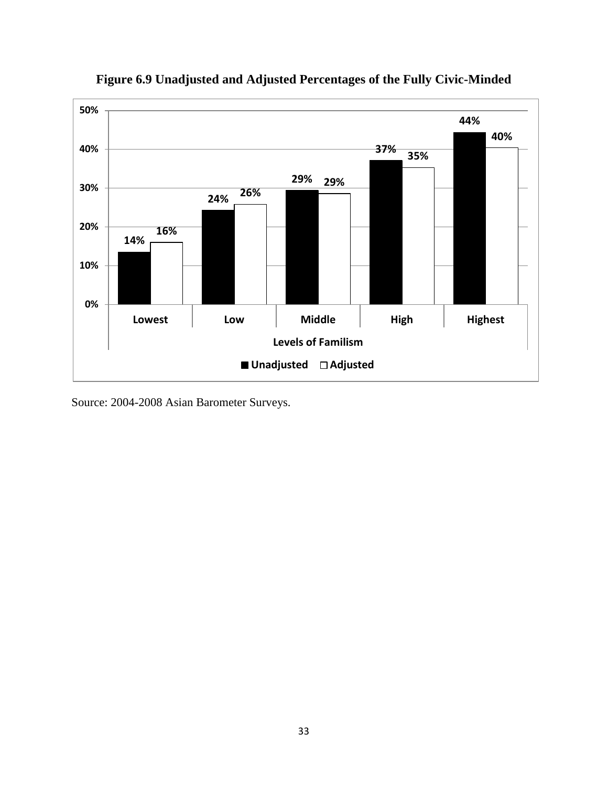

**Figure 6.9 Unadjusted and Adjusted Percentages of the Fully Civic-Minded**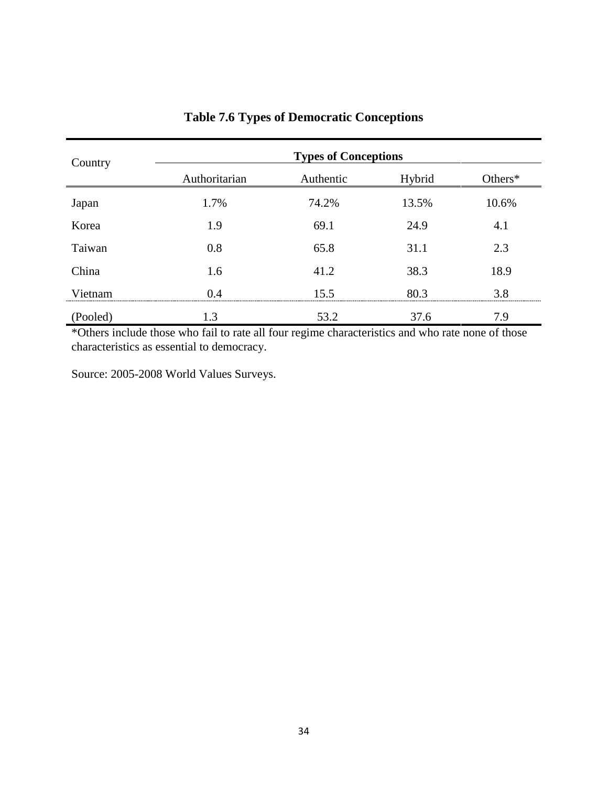| Country  |               | <b>Types of Conceptions</b> |        |         |
|----------|---------------|-----------------------------|--------|---------|
|          | Authoritarian | Authentic                   | Hybrid | Others* |
| Japan    | 1.7%          | 74.2%                       | 13.5%  | 10.6%   |
| Korea    | 1.9           | 69.1                        | 24.9   | 4.1     |
| Taiwan   | 0.8           | 65.8                        | 31.1   | 2.3     |
| China    | 1.6           | 41.2                        | 38.3   | 18.9    |
| Vietnam  | 0.4           | 15.5                        | 80.3   | 3.8     |
| (Pooled) | 1.3           | 53.2                        | 37.6   | 7.9     |

## **Table 7.6 Types of Democratic Conceptions**

\*Others include those who fail to rate all four regime characteristics and who rate none of those characteristics as essential to democracy.

Source: 2005-2008 World Values Surveys.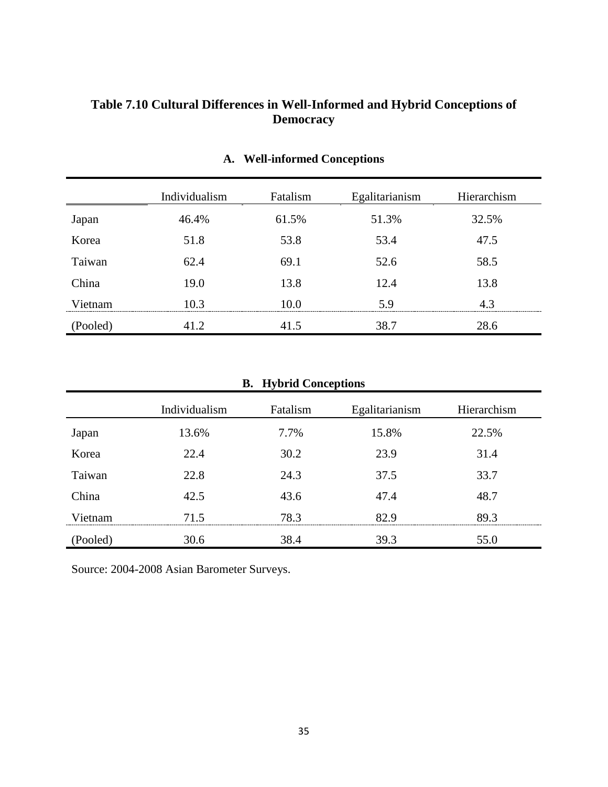## **Table 7.10 Cultural Differences in Well-Informed and Hybrid Conceptions of Democracy**

|          | Individualism | Fatalism | Egalitarianism | Hierarchism |
|----------|---------------|----------|----------------|-------------|
| Japan    | 46.4%         | 61.5%    | 51.3%          | 32.5%       |
| Korea    | 51.8          | 53.8     | 53.4           | 47.5        |
| Taiwan   | 62.4          | 69.1     | 52.6           | 58.5        |
| China    | 19.0          | 13.8     | 12.4           | 13.8        |
| Vietnam  | 10.3          | 10 O     | 5.9            | 4.3         |
| (Pooled) | 41.2          | 41.5     | 38.7           | 28.6        |

### **A. Well-informed Conceptions**

**B. Hybrid Conceptions**

|          | Individualism | Fatalism | Egalitarianism | Hierarchism |
|----------|---------------|----------|----------------|-------------|
| Japan    | 13.6%         | 7.7%     | 15.8%          | 22.5%       |
| Korea    | 22.4          | 30.2     | 23.9           | 31.4        |
| Taiwan   | 22.8          | 24.3     | 37.5           | 33.7        |
| China    | 42.5          | 43.6     | 47.4           | 48.7        |
| Vietnam  | 715           | 78.3     | 82.9           | 89.3        |
| (Pooled) | 30.6          | 38.4     | 39.3           | 55.0        |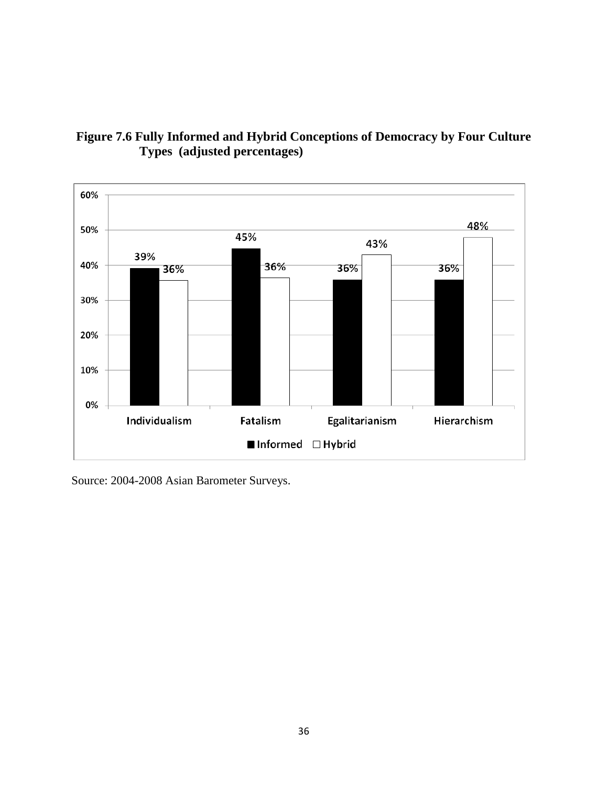

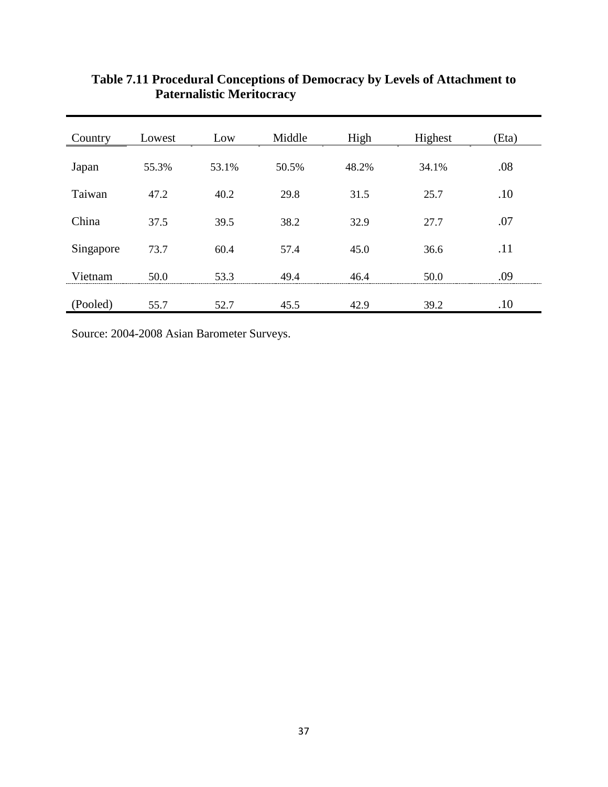| Country   | Lowest | Low   | Middle | High  | Highest | (Eta) |
|-----------|--------|-------|--------|-------|---------|-------|
| Japan     | 55.3%  | 53.1% | 50.5%  | 48.2% | 34.1%   | .08   |
| Taiwan    | 47.2   | 40.2  | 29.8   | 31.5  | 25.7    | .10   |
| China     | 37.5   | 39.5  | 38.2   | 32.9  | 27.7    | .07   |
| Singapore | 73.7   | 60.4  | 57.4   | 45.0  | 36.6    | .11   |
| Vietnam   | 50.0   | 53.3  | 49.4   | 46.4  | 50.0    | .09   |
|           |        |       |        |       |         |       |
| (Pooled)  | 55.7   | 52.7  | 45.5   | 42.9  | 39.2    | .10   |

### **Table 7.11 Procedural Conceptions of Democracy by Levels of Attachment to Paternalistic Meritocracy**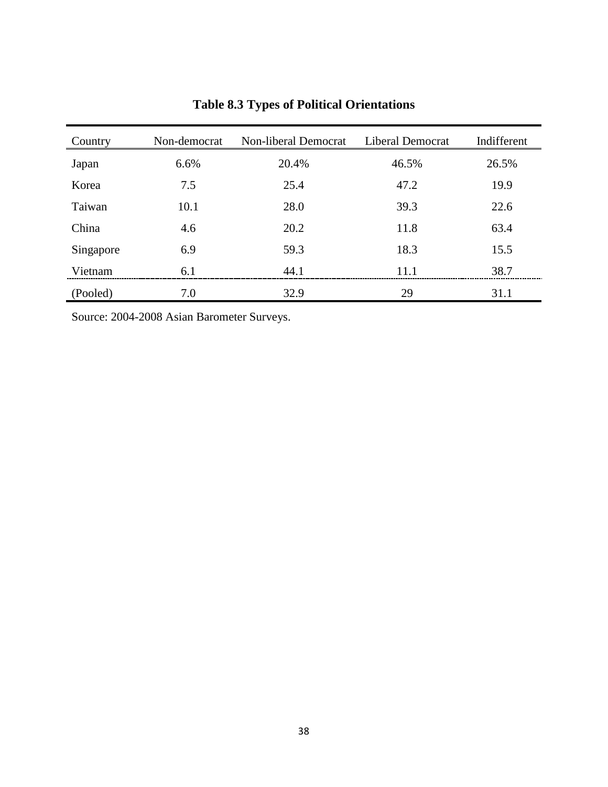| Country   | Non-democrat | Non-liberal Democrat | <b>Liberal Democrat</b> | Indifferent |
|-----------|--------------|----------------------|-------------------------|-------------|
| Japan     | 6.6%         | 20.4%                | 46.5%                   | 26.5%       |
| Korea     | 7.5          | 25.4                 | 47.2                    | 19.9        |
| Taiwan    | 10.1         | 28.0                 | 39.3                    | 22.6        |
| China     | 4.6          | 20.2                 | 11.8                    | 63.4        |
| Singapore | 6.9          | 59.3                 | 18.3                    | 15.5        |
| Vietnam   | 6.1          | 44.1                 | 11 1                    | 38.7        |
| (Pooled)  | 7.0          | 32.9                 | 29                      | 31.1        |

**Table 8.3 Types of Political Orientations**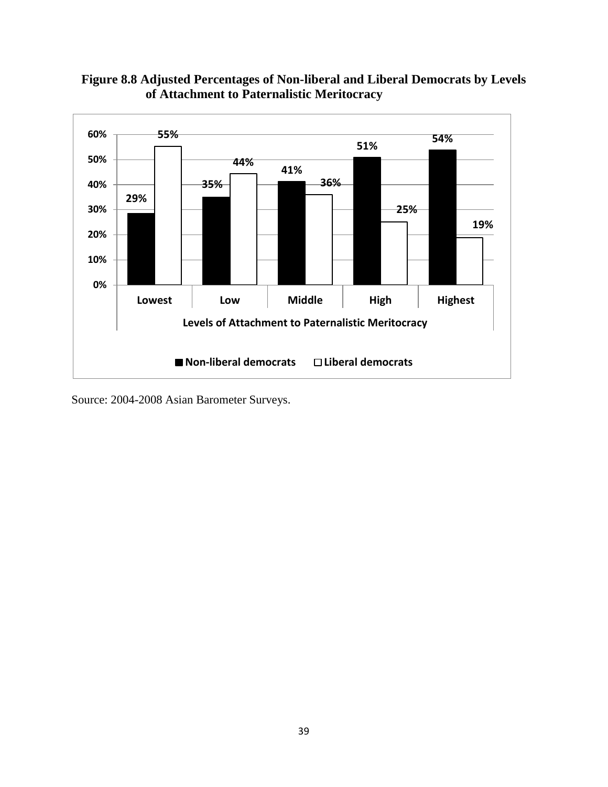

**Figure 8.8 Adjusted Percentages of Non-liberal and Liberal Democrats by Levels of Attachment to Paternalistic Meritocracy**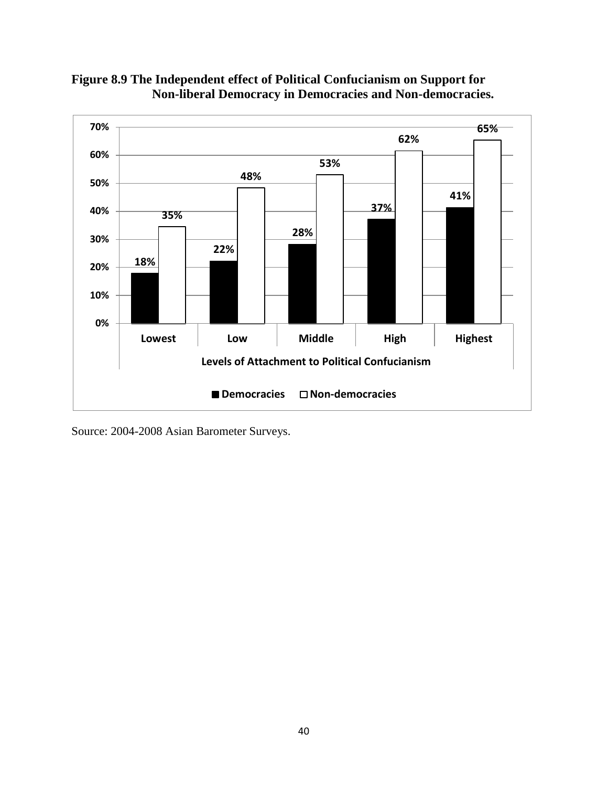

**Figure 8.9 The Independent effect of Political Confucianism on Support for Non-liberal Democracy in Democracies and Non-democracies.**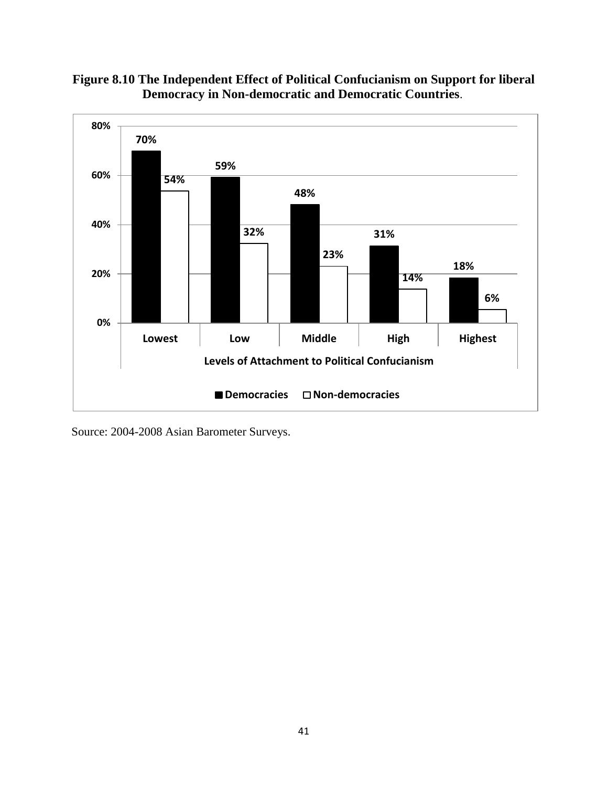



Source: 2004-2008 Asian Barometer Surveys.